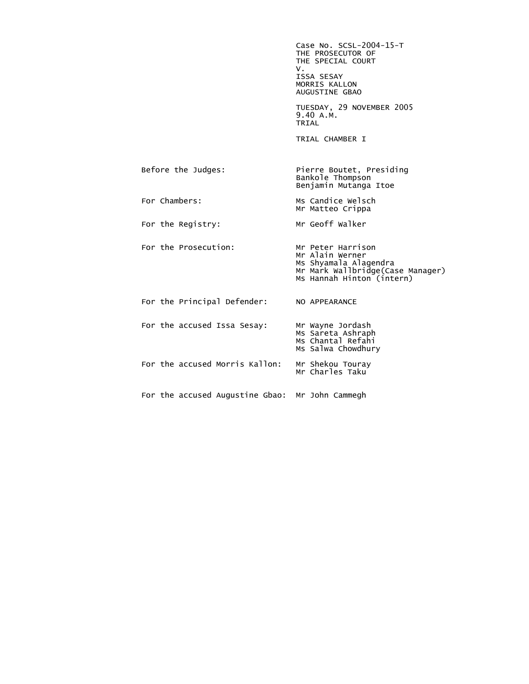Case No. SCSL-2004-15-T THE PROSECUTOR OF THE SPECIAL COURT<br>V. V. ISSA SESAY MORRIS KALLON AUGUSTINE GBAO TUESDAY, 29 NOVEMBER 2005 9.40 A.M. **TRIAL**  TRIAL CHAMBER I Before the Judges: Pierre Boutet, Presiding Bankole Thompson Benjamin Mutanga Itoe For Chambers: Ms Candice Welsch Mr Matteo Crippa For the Registry: Mr Geoff Walker For the Prosecution: Mr Peter Harrison Mr Alain Werner Ms Shyamala Alagendra Mr Mark Wallbridge(Case Manager) Ms Hannah Hinton (intern) For the Principal Defender: NO APPEARANCE For the accused Issa Sesay: Mr Wayne Jordash Ms Sareta Ashraph Ms Chantal Refahi مستخدم المستخدم المستخدم المستخدم المستخدم المستخدم المستخدم المستخدم المستخدم المستخدم المس Ms Salwa Chowdhury For the accused Morris Kallon: Mr Shekou Touray Mr Charles Taku For the accused Augustine Gbao: Mr John Cammegh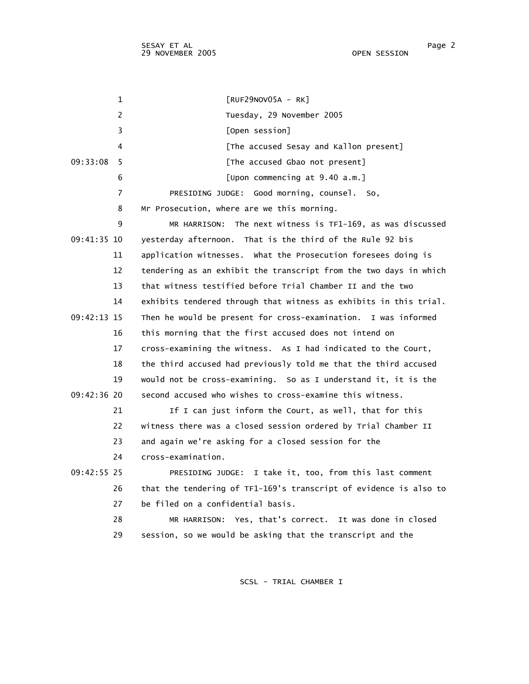| $\mathbf 1$    | $[RUF29NOV05A - RK]$                                              |
|----------------|-------------------------------------------------------------------|
| $\overline{2}$ | Tuesday, 29 November 2005                                         |
| 3              | [Open session]                                                    |
| 4              | [The accused Sesay and Kallon present]                            |
| 09:33:08<br>5  | [The accused Gbao not present]                                    |
| 6              | [Upon commencing at 9.40 a.m.]                                    |
| $\overline{7}$ | PRESIDING JUDGE: Good morning, counsel. So,                       |
| 8              | Mr Prosecution, where are we this morning.                        |
| 9              | MR HARRISON: The next witness is TF1-169, as was discussed        |
| 09:41:35 10    | vesterday afternoon. That is the third of the Rule 92 bis         |
| 11             | application witnesses. What the Prosecution foresees doing is     |
| 12             | tendering as an exhibit the transcript from the two days in which |
| 13             | that witness testified before Trial Chamber II and the two        |
| 14             | exhibits tendered through that witness as exhibits in this trial. |
| $09:42:13$ 15  | Then he would be present for cross-examination. I was informed    |
| 16             | this morning that the first accused does not intend on            |
| 17             | cross-examining the witness. As I had indicated to the Court,     |
| 18             | the third accused had previously told me that the third accused   |
| 19             | would not be cross-examining. So as I understand it, it is the    |
| 09:42:36.20    | second accused who wishes to cross-examine this witness.          |
| 21             | If I can just inform the Court, as well, that for this            |
| 22             | witness there was a closed session ordered by Trial Chamber II    |
| 23             | and again we're asking for a closed session for the               |
| 24             | cross-examination.                                                |
| 09:42:55 25    | PRESIDING JUDGE: I take it, too, from this last comment           |
| 26             | that the tendering of TF1-169's transcript of evidence is also to |
| 27             | be filed on a confidential basis.                                 |
| 28             | MR HARRISON: Yes, that's correct. It was done in closed           |
| 29             | session, so we would be asking that the transcript and the        |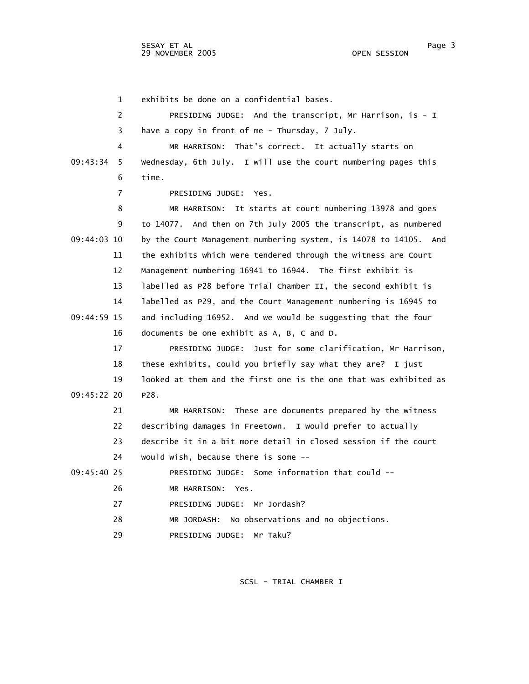1 exhibits be done on a confidential bases. 2 PRESIDING JUDGE: And the transcript, Mr Harrison, is - I 3 have a copy in front of me - Thursday, 7 July. 4 MR HARRISON: That's correct. It actually starts on 09:43:34 5 Wednesday, 6th July. I will use the court numbering pages this 6 time. 7 PRESIDING JUDGE: Yes. 8 MR HARRISON: It starts at court numbering 13978 and goes 9 to 14077. And then on 7th July 2005 the transcript, as numbered 09:44:03 10 by the Court Management numbering system, is 14078 to 14105. And 11 the exhibits which were tendered through the witness are Court 12 Management numbering 16941 to 16944. The first exhibit is 13 labelled as P28 before Trial Chamber II, the second exhibit is 14 labelled as P29, and the Court Management numbering is 16945 to 09:44:59 15 and including 16952. And we would be suggesting that the four 16 documents be one exhibit as A, B, C and D. 17 PRESIDING JUDGE: Just for some clarification, Mr Harrison, 18 these exhibits, could you briefly say what they are? I just 19 looked at them and the first one is the one that was exhibited as 09:45:22 20 P28. 21 MR HARRISON: These are documents prepared by the witness 22 describing damages in Freetown. I would prefer to actually 23 describe it in a bit more detail in closed session if the court 24 would wish, because there is some -- 09:45:40 25 PRESIDING JUDGE: Some information that could -- 26 MR HARRISON: Yes. 27 PRESIDING JUDGE: Mr Jordash? 28 MR JORDASH: No observations and no objections. 29 PRESIDING JUDGE: Mr Taku?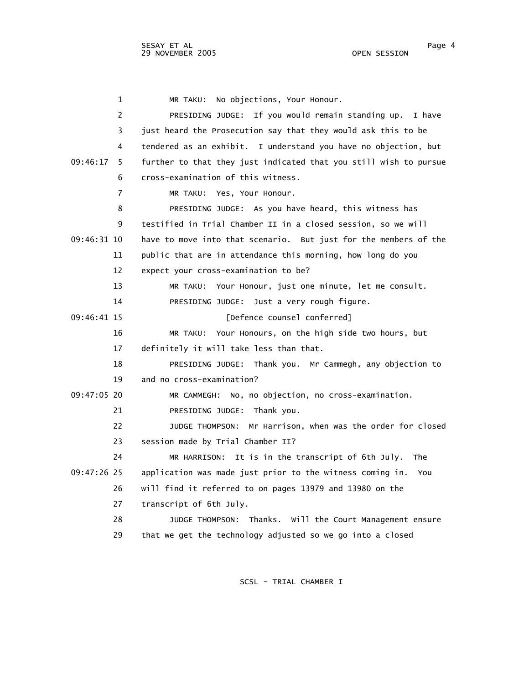1 MR TAKU: No objections, Your Honour. 2 PRESIDING JUDGE: If you would remain standing up. I have 3 just heard the Prosecution say that they would ask this to be 4 tendered as an exhibit. I understand you have no objection, but 09:46:17 5 further to that they just indicated that you still wish to pursue 6 cross-examination of this witness. 7 MR TAKU: Yes, Your Honour. 8 PRESIDING JUDGE: As you have heard, this witness has 9 testified in Trial Chamber II in a closed session, so we will 09:46:31 10 have to move into that scenario. But just for the members of the 11 public that are in attendance this morning, how long do you 12 expect your cross-examination to be? 13 MR TAKU: Your Honour, just one minute, let me consult. 14 PRESIDING JUDGE: Just a very rough figure. 09:46:41 15 [Defence counsel conferred] 16 MR TAKU: Your Honours, on the high side two hours, but 17 definitely it will take less than that. 18 PRESIDING JUDGE: Thank you. Mr Cammegh, any objection to 19 and no cross-examination? 09:47:05 20 MR CAMMEGH: No, no objection, no cross-examination. 21 PRESIDING JUDGE: Thank you. 22 JUDGE THOMPSON: Mr Harrison, when was the order for closed 23 session made by Trial Chamber II? 24 MR HARRISON: It is in the transcript of 6th July. The 09:47:26 25 application was made just prior to the witness coming in. You 26 will find it referred to on pages 13979 and 13980 on the 27 transcript of 6th July. 28 JUDGE THOMPSON: Thanks. Will the Court Management ensure 29 that we get the technology adjusted so we go into a closed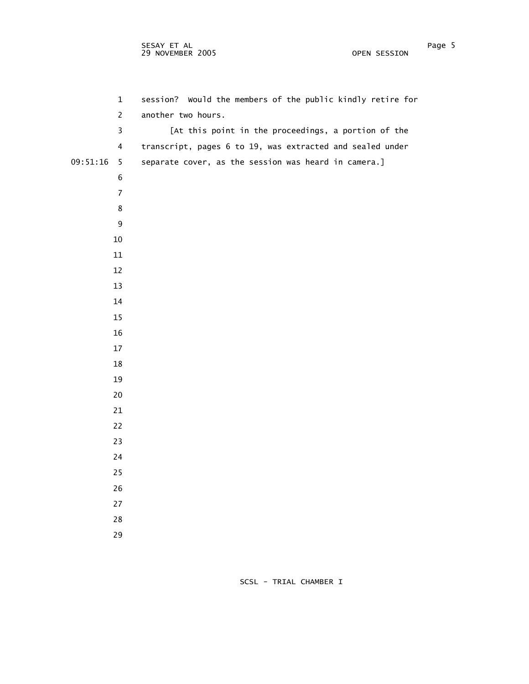| $\mathbf 1$                 | session? Would the members of the public kindly retire for |
|-----------------------------|------------------------------------------------------------|
| $\overline{2}$              | another two hours.                                         |
| $\overline{3}$              | [At this point in the proceedings, a portion of the        |
| $\overline{4}$              | transcript, pages 6 to 19, was extracted and sealed under  |
| 09:51:16<br>$5\phantom{.0}$ | separate cover, as the session was heard in camera.]       |
| 6                           |                                                            |
| $\overline{7}$              |                                                            |
| 8                           |                                                            |
| $\boldsymbol{9}$            |                                                            |
| 10                          |                                                            |
| 11                          |                                                            |
| 12                          |                                                            |
| 13                          |                                                            |
| 14                          |                                                            |
| 15                          |                                                            |
| 16                          |                                                            |
| 17                          |                                                            |
| 18                          |                                                            |
| 19                          |                                                            |
| 20                          |                                                            |
| 21                          |                                                            |
| 22                          |                                                            |
| 23                          |                                                            |
| 24                          |                                                            |
| 25                          |                                                            |
| 26                          |                                                            |
| $27\,$                      |                                                            |
| 28                          |                                                            |
| 29                          |                                                            |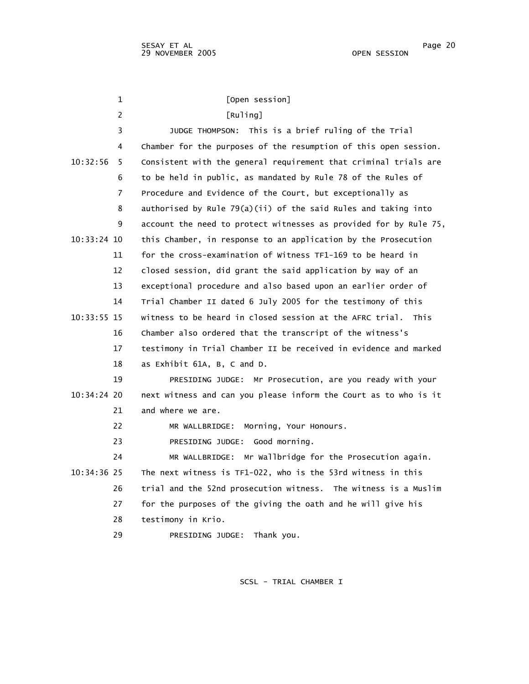| $\mathbf{1}$   | [Open session]                                                    |
|----------------|-------------------------------------------------------------------|
| $\overline{c}$ | [Ruling]                                                          |
| 3              | JUDGE THOMPSON: This is a brief ruling of the Trial               |
| 4              | Chamber for the purposes of the resumption of this open session.  |
| 10:32:56<br>5  | Consistent with the general requirement that criminal trials are  |
| 6              | to be held in public, as mandated by Rule 78 of the Rules of      |
| $\overline{7}$ | Procedure and Evidence of the Court, but exceptionally as         |
| 8              | authorised by Rule 79(a)(ii) of the said Rules and taking into    |
| 9              | account the need to protect witnesses as provided for by Rule 75, |
| $10:33:24$ 10  | this Chamber, in response to an application by the Prosecution    |
| 11             | for the cross-examination of Witness TF1-169 to be heard in       |
| 12             | closed session, did grant the said application by way of an       |
| 13             | exceptional procedure and also based upon an earlier order of     |
| 14             | Trial Chamber II dated 6 July 2005 for the testimony of this      |
| 10:33:55 15    | witness to be heard in closed session at the AFRC trial. This     |
| 16             | Chamber also ordered that the transcript of the witness's         |
| 17             | testimony in Trial Chamber II be received in evidence and marked  |
| 18             | as Exhibit 61A, B, C and D.                                       |
| 19             | PRESIDING JUDGE: Mr Prosecution, are you ready with your          |
| 10:34:24 20    | next witness and can you please inform the Court as to who is it  |
| 21             | and where we are.                                                 |
| 22             | Morning, Your Honours.<br>MR WALLBRIDGE:                          |
| 23             | PRESIDING JUDGE: Good morning.                                    |
| 24             | MR WALLBRIDGE: Mr Wallbridge for the Prosecution again.           |
| 10:34:36 25    | The next witness is TF1-022, who is the 53rd witness in this      |
| 26             | trial and the 52nd prosecution witness. The witness is a Muslim   |
| 27             | for the purposes of the giving the oath and he will give his      |
| 28             | testimony in Krio.                                                |
| 29             | Thank you.<br>PRESIDING JUDGE:                                    |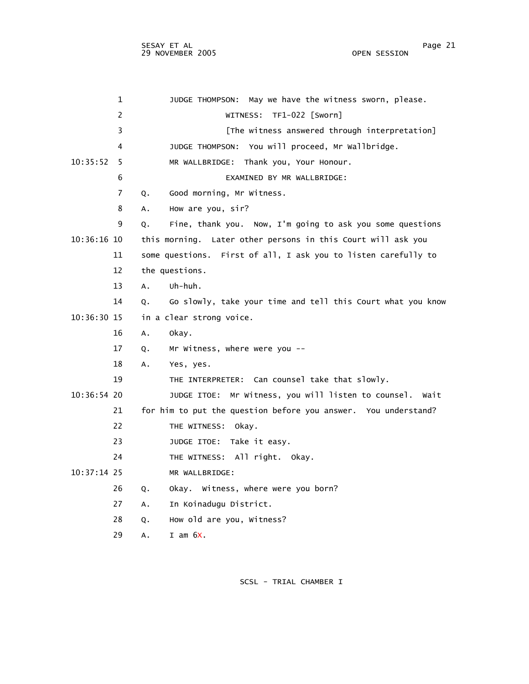1 JUDGE THOMPSON: May we have the witness sworn, please. 2 WITNESS: TF1-022 [Sworn] 3 **Example 2** [The witness answered through interpretation] 4 JUDGE THOMPSON: You will proceed, Mr Wallbridge. 10:35:52 5 MR WALLBRIDGE: Thank you, Your Honour. 6 EXAMINED BY MR WALLBRIDGE: 7 Q. Good morning, Mr Witness. 8 A. How are you, sir? 9 Q. Fine, thank you. Now, I'm going to ask you some questions 10:36:16 10 this morning. Later other persons in this Court will ask you 11 some questions. First of all, I ask you to listen carefully to 12 the questions. 13 A. Uh-huh. 14 Q. Go slowly, take your time and tell this Court what you know 10:36:30 15 in a clear strong voice. 16 A. Okay. 17 Q. Mr Witness, where were you -- 18 A. Yes, yes. 19 THE INTERPRETER: Can counsel take that slowly. 10:36:54 20 JUDGE ITOE: Mr Witness, you will listen to counsel. Wait 21 for him to put the question before you answer. You understand? 22 THE WITNESS: Okay. 23 JUDGE ITOE: Take it easy. 24 THE WITNESS: All right. Okay. 10:37:14 25 MR WALLBRIDGE: 26 Q. Okay. Witness, where were you born? 27 A. In Koinadugu District. 28 Q. How old are you, Witness? 29 A. I am 6X.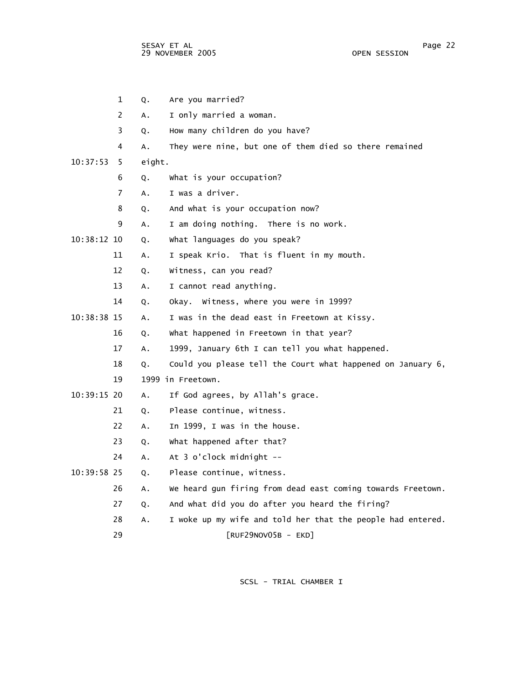SESAY ET AL Page 22 29 NOVEMBER 2005 OPEN SESSION

|               | 1  | Q.     | Are you married?                                            |
|---------------|----|--------|-------------------------------------------------------------|
|               | 2  | Α.     | I only married a woman.                                     |
|               | 3  | Q.     | How many children do you have?                              |
|               | 4  | Α.     | They were nine, but one of them died so there remained      |
| 10:37:53      | 5  | eight. |                                                             |
|               | 6  | Q.     | What is your occupation?                                    |
|               | 7  | A.     | I was a driver.                                             |
|               | 8  | Q.     | And what is your occupation now?                            |
|               | 9  | Α.     | I am doing nothing. There is no work.                       |
| $10:38:12$ 10 |    | Q.     | What languages do you speak?                                |
|               | 11 | Α.     | I speak Krio. That is fluent in my mouth.                   |
|               | 12 | Q.     | Witness, can you read?                                      |
|               | 13 | Α.     | I cannot read anything.                                     |
|               | 14 | Q.     | Okay. Witness, where you were in 1999?                      |
| 10:38:38 15   |    | A.     | I was in the dead east in Freetown at Kissy.                |
|               | 16 | Q.     | What happened in Freetown in that year?                     |
|               | 17 | A.     | 1999, January 6th I can tell you what happened.             |
|               | 18 | Q.     | Could you please tell the Court what happened on January 6, |
|               | 19 |        | 1999 in Freetown.                                           |
| 10:39:15 20   |    | Α.     | If God agrees, by Allah's grace.                            |
|               | 21 | Q.     | Please continue, witness.                                   |
|               | 22 | A.     | In 1999, I was in the house.                                |
|               | 23 | Q.     | What happened after that?                                   |
|               | 24 | Α.     | At 3 o'clock midnight --                                    |
| 10:39:58 25   |    | Q.     | Please continue, witness.                                   |
|               | 26 | Α.     | We heard gun firing from dead east coming towards Freetown. |
|               | 27 | Q.     | And what did you do after you heard the firing?             |
|               | 28 | Α.     | I woke up my wife and told her that the people had entered. |
|               | 29 |        | $[RUF29NOV05B - EKD]$                                       |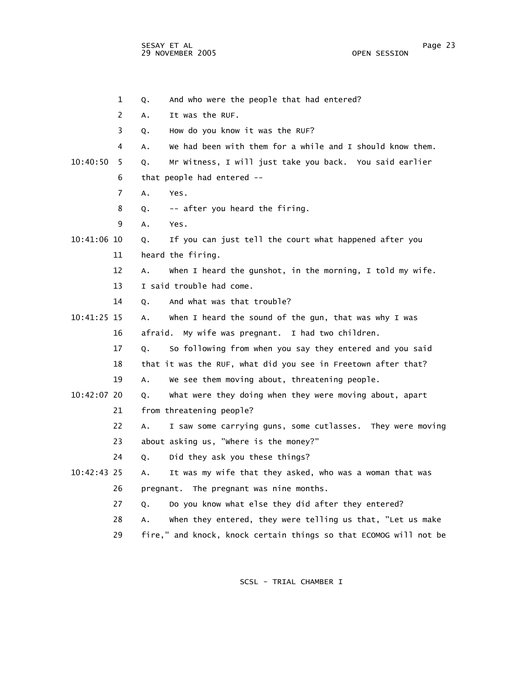|             | 1  | And who were the people that had entered?<br>Q.                   |
|-------------|----|-------------------------------------------------------------------|
|             | 2  | It was the RUF.<br>А.                                             |
|             | 3  | How do you know it was the RUF?<br>Q.                             |
|             | 4  | We had been with them for a while and I should know them.<br>А.   |
| 10:40:50    | 5. | Mr Witness, I will just take you back. You said earlier<br>Q.     |
|             | 6  | that people had entered --                                        |
|             | 7  | Α.<br>Yes.                                                        |
|             | 8  | -- after you heard the firing.<br>Q.                              |
|             | 9  | Α.<br>Yes.                                                        |
| 10:41:06 10 |    | If you can just tell the court what happened after you<br>Q.      |
|             | 11 | heard the firing.                                                 |
|             | 12 | when I heard the gunshot, in the morning, I told my wife.<br>Α.   |
|             | 13 | I said trouble had come.                                          |
|             | 14 | And what was that trouble?<br>Q.                                  |
| 10:41:25 15 |    | when I heard the sound of the gun, that was why I was<br>А.       |
|             | 16 | My wife was pregnant. I had two children.<br>afraid.              |
|             | 17 | So following from when you say they entered and you said<br>Q.    |
|             | 18 | that it was the RUF, what did you see in Freetown after that?     |
|             | 19 | We see them moving about, threatening people.<br>А.               |
| 10:42:07 20 |    | What were they doing when they were moving about, apart<br>Q.     |
|             | 21 | from threatening people?                                          |
|             | 22 | I saw some carrying guns, some cutlasses. They were moving<br>А.  |
|             | 23 | about asking us, "where is the money?"                            |
|             | 24 | Did they ask you these things?<br>Q.                              |
| 10:42:43 25 |    | It was my wife that they asked, who was a woman that was<br>А.    |
|             | 26 | pregnant. The pregnant was nine months.                           |
|             | 27 | Do you know what else they did after they entered?<br>Q.          |
|             | 28 | when they entered, they were telling us that, "Let us make<br>А.  |
|             | 29 | fire," and knock, knock certain things so that ECOMOG will not be |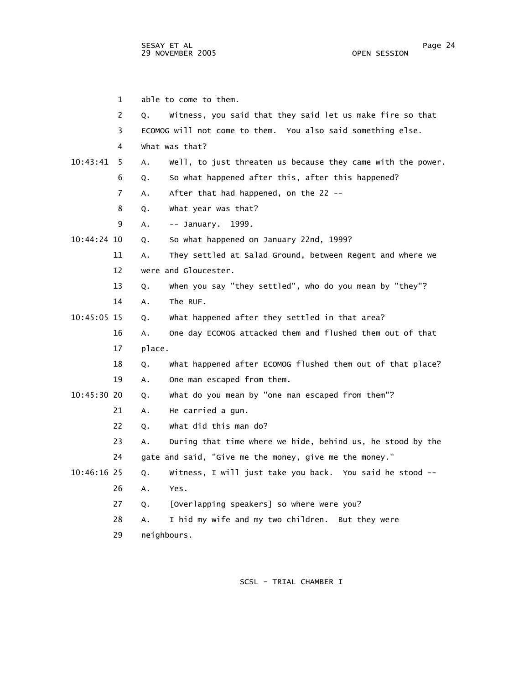SESAY ET AL Page 24 29 NOVEMBER 2005 OPEN SESSION

|             | 1              |        | able to come to them.                                       |
|-------------|----------------|--------|-------------------------------------------------------------|
|             | 2              | О.     | Witness, you said that they said let us make fire so that   |
|             | 3              |        | ECOMOG will not come to them. You also said something else. |
|             | 4              |        | what was that?                                              |
| 10:43:41    | 5              | A.     | Well, to just threaten us because they came with the power. |
|             | 6              | Q.     | So what happened after this, after this happened?           |
|             | $\overline{7}$ | А.     | After that had happened, on the 22 --                       |
|             | 8              | Q.     | what year was that?                                         |
|             | 9              | Α.     | -- January. 1999.                                           |
| 10:44:24 10 |                | Q.     | So what happened on January 22nd, 1999?                     |
|             | 11             | Α.     | They settled at Salad Ground, between Regent and where we   |
|             | 12             |        | were and Gloucester.                                        |
|             | 13             | Q.     | when you say "they settled", who do you mean by "they"?     |
|             | 14             | Α.     | The RUF.                                                    |
| 10:45:05 15 |                | Q.     | what happened after they settled in that area?              |
|             | 16             | Α.     | One day ECOMOG attacked them and flushed them out of that   |
|             | 17             | place. |                                                             |
|             | 18             | Q.     | what happened after ECOMOG flushed them out of that place?  |
|             | 19             | Α.     | One man escaped from them.                                  |
| 10:45:30:20 |                | Q.     | what do you mean by "one man escaped from them"?            |
|             | 21             | А.     | He carried a gun.                                           |
|             | 22             | Q.     | what did this man do?                                       |
|             | 23             | Α.     | During that time where we hide, behind us, he stood by the  |
|             | 24             |        | gate and said, "Give me the money, give me the money."      |
| 10:46:16 25 |                | Q.     | Witness, I will just take you back. You said he stood --    |
|             | 26             | Α.     | Yes.                                                        |
|             | 27             | Q.     | [Overlapping speakers] so where were you?                   |
|             | 28             | А.     | I hid my wife and my two children.<br>But they were         |
|             | 29             |        | neighbours.                                                 |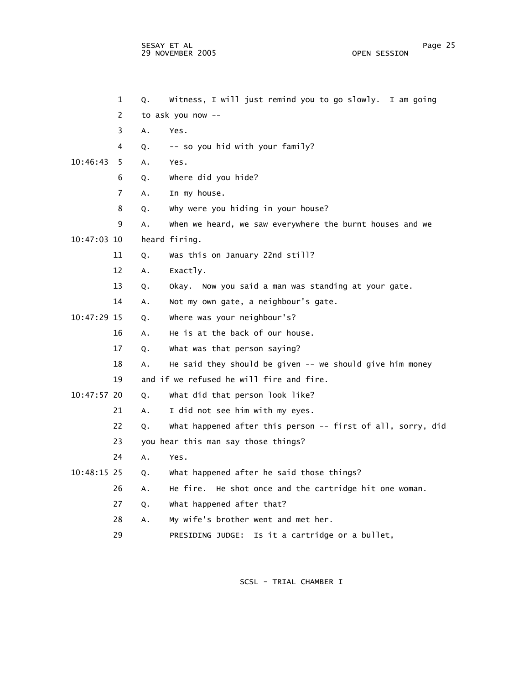|             | $\mathbf{1}$   | Q. | Witness, I will just remind you to go slowly. I am going    |
|-------------|----------------|----|-------------------------------------------------------------|
|             | 2              |    | to ask you now --                                           |
|             | 3              | Α. | Yes.                                                        |
|             | 4              | Q. | -- so you hid with your family?                             |
| 10:46:43    | 5              | Α. | Yes.                                                        |
|             | 6              | Q. | where did you hide?                                         |
|             | $\overline{7}$ | Α. | In my house.                                                |
|             | 8              | Q. | why were you hiding in your house?                          |
|             | 9              | Α. | When we heard, we saw everywhere the burnt houses and we    |
| 10:47:03 10 |                |    | heard firing.                                               |
|             | 11             | Q. | Was this on January 22nd still?                             |
|             | 12             | Α. | Exactly.                                                    |
|             | 13             | Q. | Okay. Now you said a man was standing at your gate.         |
|             | 14             | Α. | Not my own gate, a neighbour's gate.                        |
| 10:47:29 15 |                | Q. | where was your neighbour's?                                 |
|             | 16             | А. | He is at the back of our house.                             |
|             | 17             | Q. | What was that person saying?                                |
|             | 18             | A. | He said they should be given -- we should give him money    |
|             | 19             |    | and if we refused he will fire and fire.                    |
| 10:47:57 20 |                | Q. | What did that person look like?                             |
|             | 21             | А. | I did not see him with my eyes.                             |
|             | 22             | Q. | what happened after this person -- first of all, sorry, did |
|             | 23             |    | you hear this man say those things?                         |
|             | 24             | Α. | Yes.                                                        |
| 10:48:15 25 |                | Q. | What happened after he said those things?                   |
|             | 26             | А. | He fire. He shot once and the cartridge hit one woman.      |
|             | 27             | Q. | what happened after that?                                   |
|             | 28             | Α. | My wife's brother went and met her.                         |
|             | 29             |    | PRESIDING JUDGE: Is it a cartridge or a bullet,             |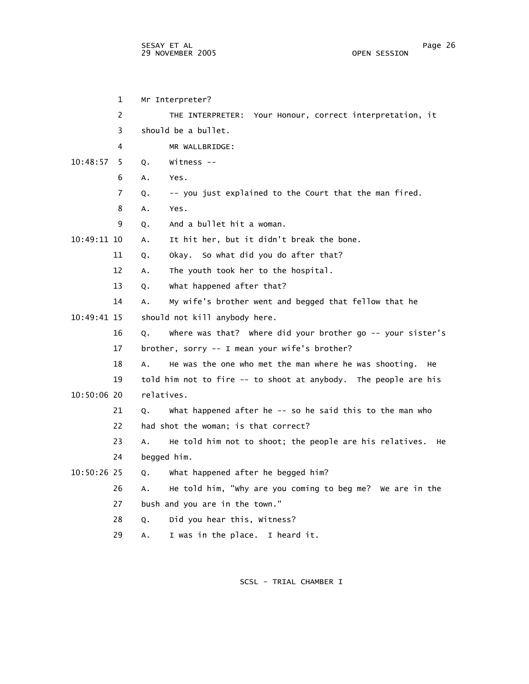|             | 1              | Mr Interpreter?                                                             |
|-------------|----------------|-----------------------------------------------------------------------------|
|             | 2              | THE INTERPRETER: Your Honour, correct interpretation, it                    |
|             | 3              | should be a bullet.                                                         |
|             | 4              | MR WALLBRIDGE:                                                              |
| 10:48:57    | 5.             | Witness $-$<br>Q.                                                           |
|             | 6              | A.<br>Yes.                                                                  |
|             | $\overline{7}$ | -- you just explained to the Court that the man fired.<br>Q.                |
|             | 8              | А.<br>Yes.                                                                  |
|             | 9              | And a bullet hit a woman.<br>Q.                                             |
| 10:49:11 10 |                | It hit her, but it didn't break the bone.<br>А.                             |
|             | 11             | Okay. So what did you do after that?<br>Q.                                  |
|             | 12             | The youth took her to the hospital.<br>Α.                                   |
|             | 13             | what happened after that?<br>Q.                                             |
|             | 14             | My wife's brother went and begged that fellow that he<br>А.                 |
| 10:49:41 15 |                | should not kill anybody here.                                               |
|             | 16             | where was that? Where did your brother go -- your sister's<br>Q.            |
|             | 17             | brother, sorry -- I mean your wife's brother?                               |
|             | 18             | He was the one who met the man where he was shooting.<br>А.<br>He           |
|             | 19             | told him not to fire -- to shoot at anybody. The people are his             |
| 10:50:06 20 |                | relatives.                                                                  |
|             | 21             | what happened after he -- so he said this to the man who<br>Q.              |
|             | 22             | had shot the woman; is that correct?                                        |
|             | 23             | He told him not to shoot; the people are his relatives. He<br>$A_{\bullet}$ |
|             | 24             | begged him.                                                                 |
| 10:50:26 25 |                | What happened after he begged him?<br>Q.                                    |
|             | 26             | He told him, "why are you coming to beg me? We are in the<br>А.             |
|             | 27             | bush and you are in the town."                                              |
|             | 28             | Did you hear this, Witness?<br>Q.                                           |
|             | 29             | I was in the place. I heard it.<br>А.                                       |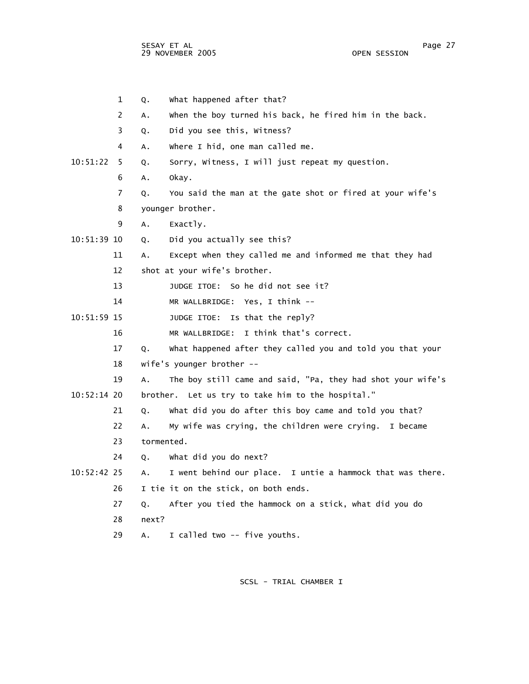SESAY ET AL Page 27 29 NOVEMBER 2005

 1 Q. What happened after that? 2 A. When the boy turned his back, he fired him in the back. 3 Q. Did you see this, Witness? 4 A. Where I hid, one man called me. 10:51:22 5 Q. Sorry, Witness, I will just repeat my question. 6 A. Okay. 7 Q. You said the man at the gate shot or fired at your wife's 8 younger brother. 9 A. Exactly. 10:51:39 10 Q. Did you actually see this? 11 A. Except when they called me and informed me that they had 12 shot at your wife's brother. 13 JUDGE ITOE: So he did not see it? 14 MR WALLBRIDGE: Yes, I think -- 10:51:59 15 JUDGE ITOE: Is that the reply? 16 MR WALLBRIDGE: I think that's correct. 17 Q. What happened after they called you and told you that your 18 wife's younger brother -- 19 A. The boy still came and said, "Pa, they had shot your wife's 10:52:14 20 brother. Let us try to take him to the hospital." 21 Q. What did you do after this boy came and told you that? 22 A. My wife was crying, the children were crying. I became 23 tormented. 24 Q. What did you do next? 10:52:42 25 A. I went behind our place. I untie a hammock that was there. 26 I tie it on the stick, on both ends. 27 Q. After you tied the hammock on a stick, what did you do 28 next? 29 A. I called two -- five youths.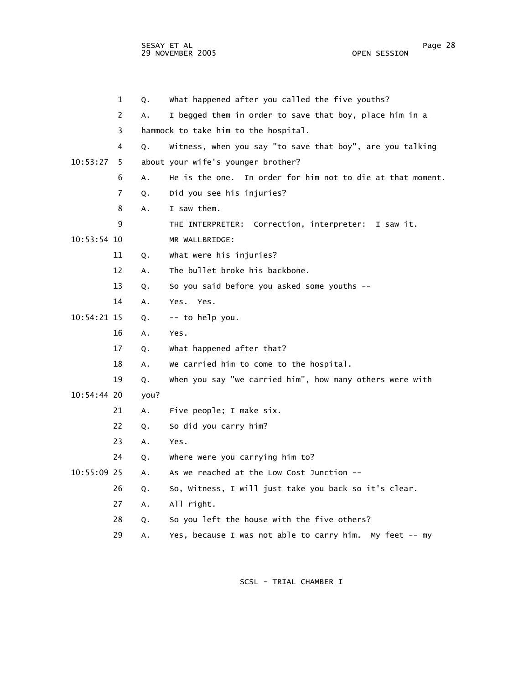SESAY ET AL Page 28 29 NOVEMBER 2005 OPEN SESSION

|               | 1  | Q.   | What happened after you called the five youths?               |
|---------------|----|------|---------------------------------------------------------------|
|               | 2  | А.   | I begged them in order to save that boy, place him in a       |
|               | 3  |      | hammock to take him to the hospital.                          |
|               | 4  | Q.   | Witness, when you say "to save that boy", are you talking     |
| 10:53:27      | 5  |      | about your wife's younger brother?                            |
|               | 6  | Α.   | In order for him not to die at that moment.<br>He is the one. |
|               | 7  | Q.   | Did you see his injuries?                                     |
|               | 8  | А.   | I saw them.                                                   |
|               | 9  |      | THE INTERPRETER: Correction, interpreter: I saw it.           |
| $10:53:54$ 10 |    |      | MR WALLBRIDGE:                                                |
|               | 11 | Q.   | What were his injuries?                                       |
|               | 12 | А.   | The bullet broke his backbone.                                |
|               | 13 | Q.   | So you said before you asked some youths --                   |
|               | 14 | Α.   | Yes. Yes.                                                     |
| 10:54:21 15   |    | Q.   | -- to help you.                                               |
|               | 16 | А.   | Yes.                                                          |
|               | 17 | Q.   | what happened after that?                                     |
|               | 18 | А.   | We carried him to come to the hospital.                       |
|               | 19 | Q.   | when you say "we carried him", how many others were with      |
| 10:54:44 20   |    | you? |                                                               |
|               | 21 | Α.   | Five people; I make six.                                      |
|               | 22 | Q.   | So did you carry him?                                         |
|               | 23 | Α.   | Yes.                                                          |
|               | 24 | Q.   | where were you carrying him to?                               |
| 10:55:09 25   |    | А.   | As we reached at the Low Cost Junction --                     |
|               | 26 | Q.   | So, Witness, I will just take you back so it's clear.         |
|               | 27 | Α.   | All right.                                                    |
|               | 28 | Q.   | So you left the house with the five others?                   |
|               | 29 | Α.   | Yes, because I was not able to carry him.<br>My feet -- my    |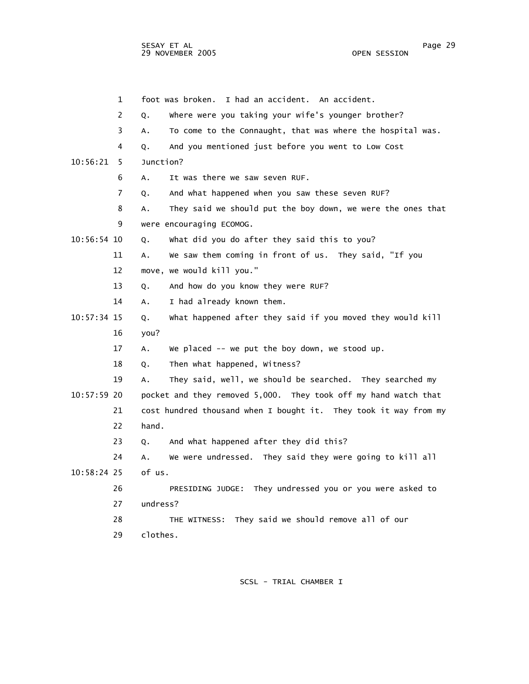1 foot was broken. I had an accident. An accident. 2 Q. Where were you taking your wife's younger brother? 3 A. To come to the Connaught, that was where the hospital was. 4 Q. And you mentioned just before you went to Low Cost 10:56:21 5 Junction? 6 A. It was there we saw seven RUF. 7 Q. And what happened when you saw these seven RUF? 8 A. They said we should put the boy down, we were the ones that 9 were encouraging ECOMOG. 10:56:54 10 Q. What did you do after they said this to you? 11 A. We saw them coming in front of us. They said, "If you 12 move, we would kill you." 13 Q. And how do you know they were RUF? 14 A. I had already known them. 10:57:34 15 Q. What happened after they said if you moved they would kill 16 you? 17 A. We placed -- we put the boy down, we stood up. 18 Q. Then what happened, Witness? 19 A. They said, well, we should be searched. They searched my 10:57:59 20 pocket and they removed 5,000. They took off my hand watch that 21 cost hundred thousand when I bought it. They took it way from my 22 hand. 23 Q. And what happened after they did this? 24 A. We were undressed. They said they were going to kill all 10:58:24 25 of us. 26 PRESIDING JUDGE: They undressed you or you were asked to 27 undress? 28 THE WITNESS: They said we should remove all of our 29 clothes.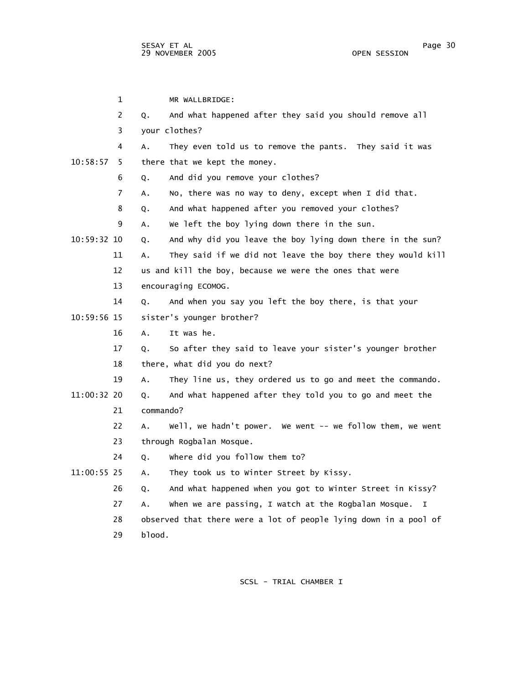29 blood.

 1 MR WALLBRIDGE: 2 Q. And what happened after they said you should remove all 3 your clothes? 4 A. They even told us to remove the pants. They said it was 10:58:57 5 there that we kept the money. 6 Q. And did you remove your clothes? 7 A. No, there was no way to deny, except when I did that. 8 Q. And what happened after you removed your clothes? 9 A. We left the boy lying down there in the sun. 10:59:32 10 Q. And why did you leave the boy lying down there in the sun? 11 A. They said if we did not leave the boy there they would kill 12 us and kill the boy, because we were the ones that were 13 encouraging ECOMOG. 14 Q. And when you say you left the boy there, is that your 10:59:56 15 sister's younger brother? 16 A. It was he. 17 Q. So after they said to leave your sister's younger brother 18 there, what did you do next? 19 A. They line us, they ordered us to go and meet the commando. 11:00:32 20 Q. And what happened after they told you to go and meet the 21 commando? 22 A. Well, we hadn't power. We went -- we follow them, we went 23 through Rogbalan Mosque. 24 Q. Where did you follow them to? 11:00:55 25 A. They took us to Winter Street by Kissy. 26 Q. And what happened when you got to Winter Street in Kissy? 27 A. When we are passing, I watch at the Rogbalan Mosque. I 28 observed that there were a lot of people lying down in a pool of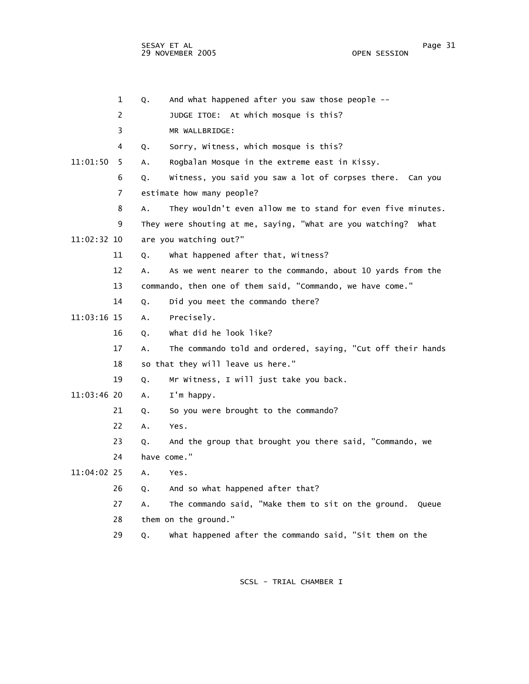sesay et al. In the second service of the service of the service of the service of the service of the service o 29 NOVEMBER 2005 OPEN SESSION

|             | 1              | Q. | And what happened after you saw those people --                |
|-------------|----------------|----|----------------------------------------------------------------|
|             | 2              |    | JUDGE ITOE: At which mosque is this?                           |
|             | 3              |    | MR WALLBRIDGE:                                                 |
|             | 4              | Q. | Sorry, Witness, which mosque is this?                          |
| 11:01:50    | 5.             | А. | Rogbalan Mosque in the extreme east in Kissy.                  |
|             | 6              | Q. | Witness, you said you saw a lot of corpses there. Can you      |
|             | $\overline{7}$ |    | estimate how many people?                                      |
|             | 8              | Α. | They wouldn't even allow me to stand for even five minutes.    |
|             | 9              |    | They were shouting at me, saying, "what are you watching? What |
| 11:02:32 10 |                |    | are you watching out?"                                         |
|             | 11             | Q. | what happened after that, witness?                             |
|             | 12             | А. | As we went nearer to the commando, about 10 yards from the     |
|             | 13             |    | commando, then one of them said, "Commando, we have come."     |
|             | 14             | Q. | Did you meet the commando there?                               |
| 11:03:16 15 |                | А. | Precisely.                                                     |
|             | 16             | Q. | what did he look like?                                         |
|             | 17             | Α. | The commando told and ordered, saying, "Cut off their hands    |
|             | 18             |    | so that they will leave us here."                              |
|             | 19             | Q. | Mr Witness, I will just take you back.                         |
| 11:03:46 20 |                | А. | I'm happy.                                                     |
|             | 21             | Q. | So you were brought to the commando?                           |
|             | 22             | Α. | Yes.                                                           |
|             | 23             | Q. | And the group that brought you there said, "Commando, we       |
|             | 24             |    | have come."                                                    |
| 11:04:02 25 |                | А. | Yes.                                                           |
|             | 26             | Q. | And so what happened after that?                               |
|             | 27             | Α. | The commando said, "Make them to sit on the ground.<br>Queue   |
|             | 28             |    | them on the ground."                                           |
|             | 29             | Q. | what happened after the commando said, "Sit them on the        |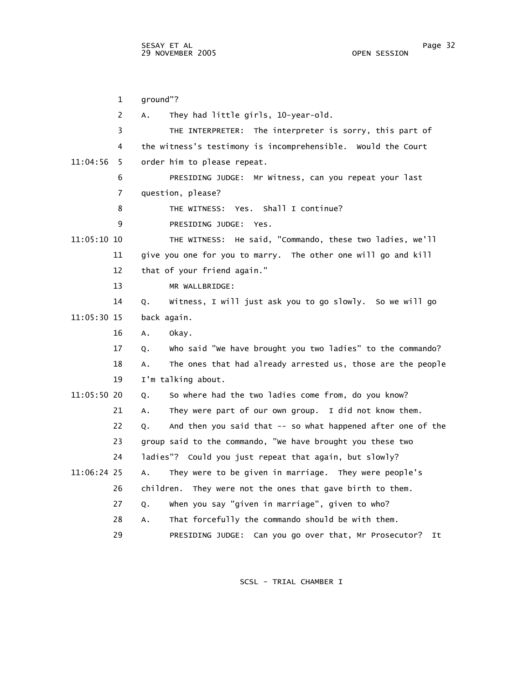1 ground"? 2 A. They had little girls, 10-year-old. 3 THE INTERPRETER: The interpreter is sorry, this part of 4 the witness's testimony is incomprehensible. Would the Court 11:04:56 5 order him to please repeat. 6 PRESIDING JUDGE: Mr Witness, can you repeat your last 7 question, please? 8 THE WITNESS: Yes. Shall I continue? 9 PRESIDING JUDGE: Yes. 11:05:10 10 THE WITNESS: He said, "Commando, these two ladies, we'll 11 give you one for you to marry. The other one will go and kill 12 that of your friend again." 13 MR WALLBRIDGE: 14 Q. Witness, I will just ask you to go slowly. So we will go 11:05:30 15 back again. 16 A. Okay. 17 Q. Who said "We have brought you two ladies" to the commando? 18 A. The ones that had already arrested us, those are the people 19 I'm talking about. 11:05:50 20 Q. So where had the two ladies come from, do you know? 21 A. They were part of our own group. I did not know them. 22 Q. And then you said that -- so what happened after one of the 23 group said to the commando, "We have brought you these two 24 ladies"? Could you just repeat that again, but slowly? 11:06:24 25 A. They were to be given in marriage. They were people's 26 children. They were not the ones that gave birth to them. 27 Q. When you say "given in marriage", given to who? 28 A. That forcefully the commando should be with them. 29 PRESIDING JUDGE: Can you go over that, Mr Prosecutor? It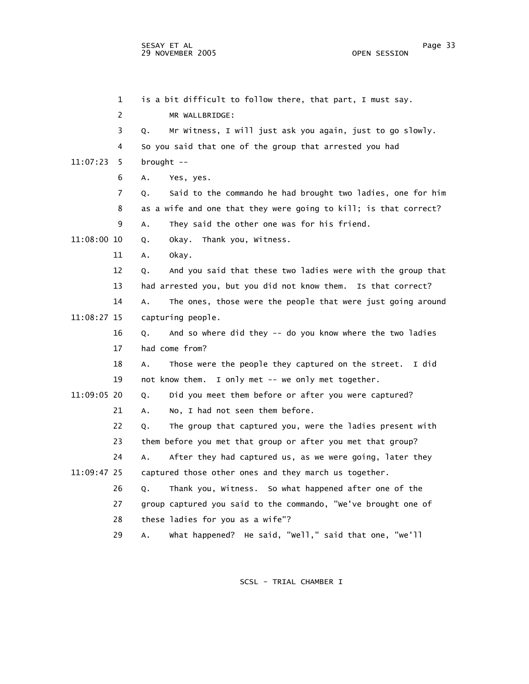1 is a bit difficult to follow there, that part, I must say. 2 MR WALLBRIDGE: 3 Q. Mr Witness, I will just ask you again, just to go slowly. 4 So you said that one of the group that arrested you had 11:07:23 5 brought -- 6 A. Yes, yes. 7 Q. Said to the commando he had brought two ladies, one for him 8 as a wife and one that they were going to kill; is that correct? 9 A. They said the other one was for his friend. 11:08:00 10 Q. Okay. Thank you, Witness. 11 A. Okay. 12 Q. And you said that these two ladies were with the group that 13 had arrested you, but you did not know them. Is that correct? 14 A. The ones, those were the people that were just going around 11:08:27 15 capturing people. 16 Q. And so where did they -- do you know where the two ladies 17 had come from? 18 A. Those were the people they captured on the street. I did 19 not know them. I only met -- we only met together. 11:09:05 20 Q. Did you meet them before or after you were captured? 21 A. No, I had not seen them before. 22 Q. The group that captured you, were the ladies present with 23 them before you met that group or after you met that group? 24 A. After they had captured us, as we were going, later they 11:09:47 25 captured those other ones and they march us together. 26 Q. Thank you, Witness. So what happened after one of the 27 group captured you said to the commando, "We've brought one of 28 these ladies for you as a wife"? 29 A. What happened? He said, "Well," said that one, "we'll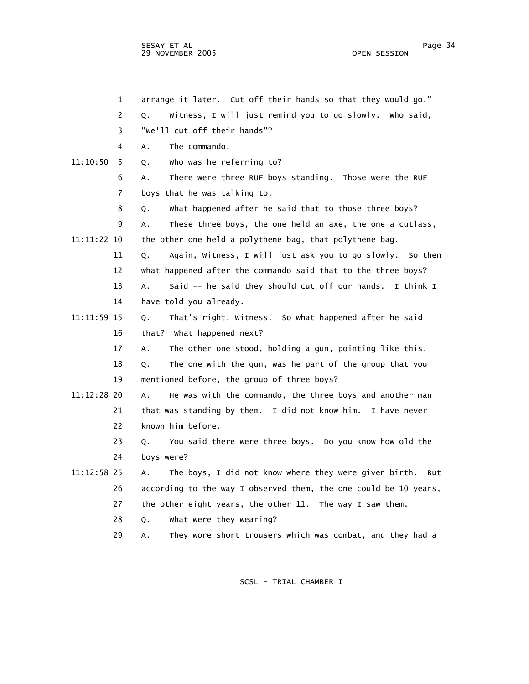1 arrange it later. Cut off their hands so that they would go." 2 Q. Witness, I will just remind you to go slowly. Who said, 3 "We'll cut off their hands"? 4 A. The commando. 11:10:50 5 Q. Who was he referring to? 6 A. There were three RUF boys standing. Those were the RUF 7 boys that he was talking to. 8 Q. What happened after he said that to those three boys? 9 A. These three boys, the one held an axe, the one a cutlass, 11:11:22 10 the other one held a polythene bag, that polythene bag. 11 Q. Again, Witness, I will just ask you to go slowly. So then 12 what happened after the commando said that to the three boys? 13 A. Said -- he said they should cut off our hands. I think I 14 have told you already. 11:11:59 15 Q. That's right, Witness. So what happened after he said 16 that? What happened next? 17 A. The other one stood, holding a gun, pointing like this. 18 Q. The one with the gun, was he part of the group that you 19 mentioned before, the group of three boys? 11:12:28 20 A. He was with the commando, the three boys and another man 21 that was standing by them. I did not know him. I have never 22 known him before. 23 Q. You said there were three boys. Do you know how old the 24 boys were? 11:12:58 25 A. The boys, I did not know where they were given birth. But 26 according to the way I observed them, the one could be 10 years, 27 the other eight years, the other 11. The way I saw them. 28 Q. What were they wearing? 29 A. They wore short trousers which was combat, and they had a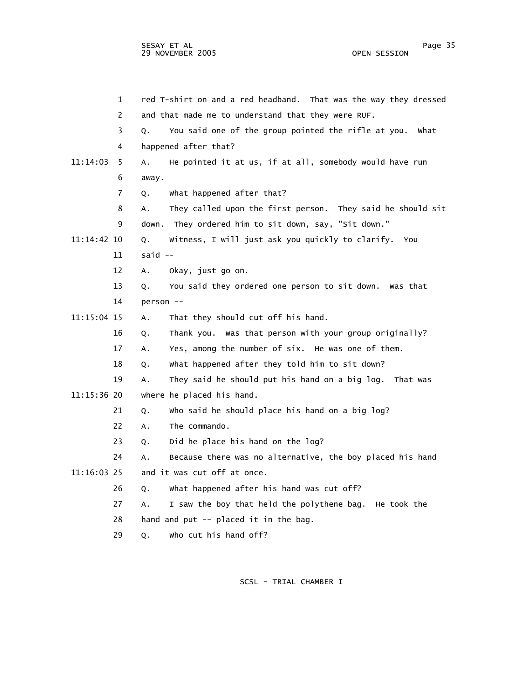| $\mathbf{1}$   | red T-shirt on and a red headband. That was the way they dressed |
|----------------|------------------------------------------------------------------|
| 2              | and that made me to understand that they were RUF.               |
| 3              | You said one of the group pointed the rifle at you. What<br>О.   |
| 4              | happened after that?                                             |
| 11:14:03<br>5. | He pointed it at us, if at all, somebody would have run<br>Α.    |
| 6              | away.                                                            |
| 7              | what happened after that?<br>Q.                                  |
| 8              | They called upon the first person. They said he should sit<br>А. |
| 9              | They ordered him to sit down, say, "Sit down."<br>down.          |
| 11:14:42 10    | Witness, I will just ask you quickly to clarify. You<br>Q.       |
| 11             | said $--$                                                        |
| 12             | А.<br>Okay, just go on.                                          |
| 13             | You said they ordered one person to sit down. Was that<br>Q.     |
| 14             | person --                                                        |
| 11:15:04 15    | That they should cut off his hand.<br>А.                         |
| 16             | Thank you. Was that person with your group originally?<br>Q.     |
| 17             | Yes, among the number of six. He was one of them.<br>Α.          |
| 18             | what happened after they told him to sit down?<br>Q.             |
| 19             | They said he should put his hand on a big log. That was<br>А.    |
| 11:15:36 20    | where he placed his hand.                                        |
| 21             | who said he should place his hand on a big log?<br>Q.            |
| 22             | The commando.<br>Α.                                              |
| 23             | Did he place his hand on the log?<br>Q.                          |
| 24             | Because there was no alternative, the boy placed his hand<br>Α.  |
| 11:16:03 25    | and it was cut off at once.                                      |
| 26             | What happened after his hand was cut off?<br>Q.                  |
| 27             | I saw the boy that held the polythene bag. He took the<br>А.     |
| 28             | hand and put $-$ placed it in the bag.                           |
| 29             | who cut his hand off?<br>Q.                                      |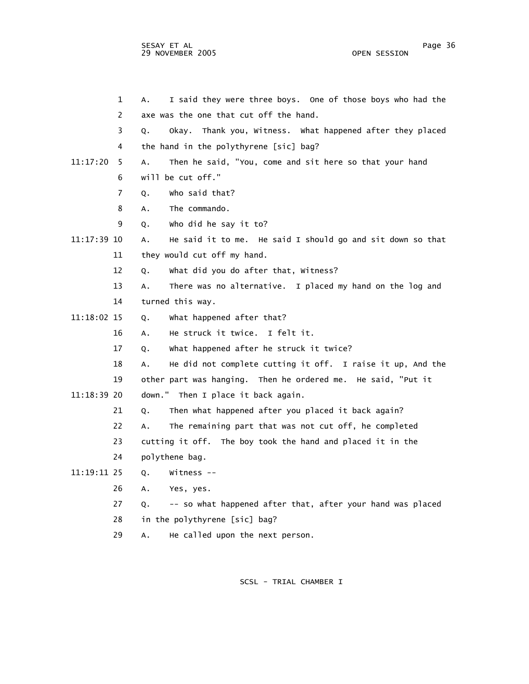SESAY ET AL Page 36 29 NOVEMBER 2005

 1 A. I said they were three boys. One of those boys who had the 2 axe was the one that cut off the hand. 3 Q. Okay. Thank you, Witness. What happened after they placed 4 the hand in the polythyrene [sic] bag? 11:17:20 5 A. Then he said, "You, come and sit here so that your hand 6 will be cut off." 7 Q. Who said that? 8 A. The commando. 9 Q. Who did he say it to? 11:17:39 10 A. He said it to me. He said I should go and sit down so that 11 they would cut off my hand. 12 Q. What did you do after that, Witness? 13 A. There was no alternative. I placed my hand on the log and 14 turned this way. 11:18:02 15 Q. What happened after that? 16 A. He struck it twice. I felt it. 17 Q. What happened after he struck it twice? 18 A. He did not complete cutting it off. I raise it up, And the 19 other part was hanging. Then he ordered me. He said, "Put it 11:18:39 20 down." Then I place it back again. 21 Q. Then what happened after you placed it back again? 22 A. The remaining part that was not cut off, he completed 23 cutting it off. The boy took the hand and placed it in the 24 polythene bag. 11:19:11 25 Q. Witness -- 26 A. Yes, yes. 27 Q. -- so what happened after that, after your hand was placed 28 in the polythyrene [sic] bag? 29 A. He called upon the next person.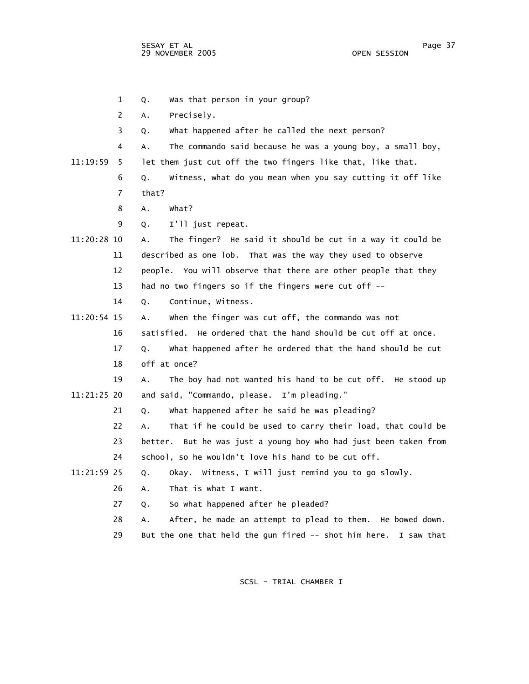1 Q. Was that person in your group? 2 A. Precisely. 3 Q. What happened after he called the next person? 4 A. The commando said because he was a young boy, a small boy, 11:19:59 5 let them just cut off the two fingers like that, like that. 6 Q. Witness, what do you mean when you say cutting it off like 7 that? 8 A. What? 9 Q. I'll just repeat. 11:20:28 10 A. The finger? He said it should be cut in a way it could be 11 described as one lob. That was the way they used to observe 12 people. You will observe that there are other people that they 13 had no two fingers so if the fingers were cut off -- 14 Q. Continue, Witness. 11:20:54 15 A. When the finger was cut off, the commando was not 16 satisfied. He ordered that the hand should be cut off at once. 17 Q. What happened after he ordered that the hand should be cut 18 off at once? 19 A. The boy had not wanted his hand to be cut off. He stood up 11:21:25 20 and said, "Commando, please. I'm pleading." 21 Q. What happened after he said he was pleading? 22 A. That if he could be used to carry their load, that could be 23 better. But he was just a young boy who had just been taken from 24 school, so he wouldn't love his hand to be cut off. 11:21:59 25 Q. Okay. Witness, I will just remind you to go slowly. 26 A. That is what I want. 27 Q. So what happened after he pleaded? 28 A. After, he made an attempt to plead to them. He bowed down. 29 But the one that held the gun fired -- shot him here. I saw that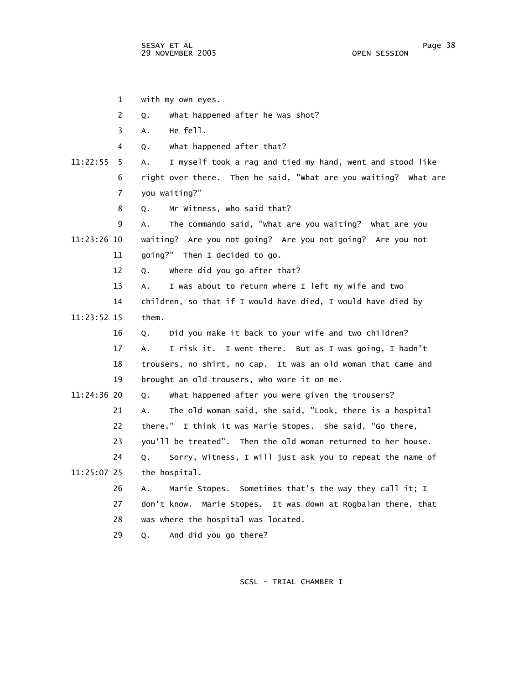1 with my own eyes.

 2 Q. What happened after he was shot? 3 A. He fell. 4 Q. What happened after that? 11:22:55 5 A. I myself took a rag and tied my hand, went and stood like 6 right over there. Then he said, "What are you waiting? What are 7 you waiting?" 8 Q. Mr Witness, who said that? 9 A. The commando said, "What are you waiting? What are you 11:23:26 10 waiting? Are you not going? Are you not going? Are you not 11 going?" Then I decided to go. 12 Q. Where did you go after that? 13 A. I was about to return where I left my wife and two 14 children, so that if I would have died, I would have died by 11:23:52 15 them. 16 Q. Did you make it back to your wife and two children? 17 A. I risk it. I went there. But as I was going, I hadn't 18 trousers, no shirt, no cap. It was an old woman that came and 19 brought an old trousers, who wore it on me. 11:24:36 20 Q. What happened after you were given the trousers? 21 A. The old woman said, she said, "Look, there is a hospital 22 there." I think it was Marie Stopes. She said, "Go there, 23 you'll be treated". Then the old woman returned to her house. 24 Q. Sorry, Witness, I will just ask you to repeat the name of 11:25:07 25 the hospital. 26 A. Marie Stopes. Sometimes that's the way they call it; I 27 don't know. Marie Stopes. It was down at Rogbalan there, that 28 was where the hospital was located. 29 Q. And did you go there?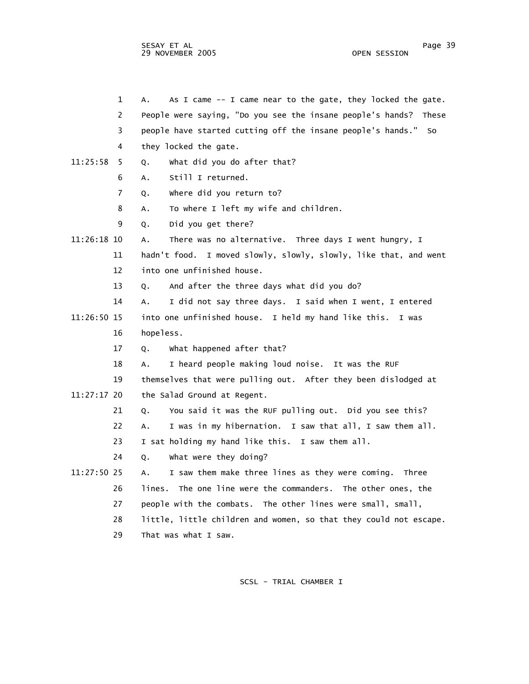| $\mathbf 1$    | As I came -- I came near to the gate, they locked the gate.<br>Α.   |
|----------------|---------------------------------------------------------------------|
| $\overline{2}$ | People were saying, "Do you see the insane people's hands?<br>These |
| 3              | people have started cutting off the insane people's hands."<br>So   |
| 4              | they locked the gate.                                               |
| 11:25:58<br>5. | what did you do after that?<br>Q.                                   |
| 6              | Still I returned.<br>А.                                             |
| $\overline{7}$ | where did you return to?<br>Q.                                      |
| 8              | To where I left my wife and children.<br>Α.                         |
| 9              | Did you get there?<br>Q.                                            |
| 11:26:18 10    | There was no alternative. Three days I went hungry, I<br>А.         |
| 11             | hadn't food. I moved slowly, slowly, slowly, like that, and went    |
| 12             | into one unfinished house.                                          |
| 13             | And after the three days what did you do?<br>Q.                     |
| 14             | I did not say three days. I said when I went, I entered<br>А.       |
| 11:26:50 15    | into one unfinished house. I held my hand like this.<br>I was       |
| 16             | hopeless.                                                           |
| 17             | What happened after that?<br>Q.                                     |
| 18             | I heard people making loud noise. It was the RUF<br>А.              |
| 19             | themselves that were pulling out. After they been dislodged at      |
| 11:27:17 20    | the Salad Ground at Regent.                                         |
| 21             | You said it was the RUF pulling out. Did you see this?<br>Q.        |
| 22             | I was in my hibernation. I saw that all, I saw them all.<br>А.      |
| 23             | I sat holding my hand like this. I saw them all.                    |
| 24             | what were they doing?<br>Q.                                         |
| 11:27:50 25    | I saw them make three lines as they were coming. Three<br>А.        |
| 26             | The one line were the commanders. The other ones, the<br>lines.     |
| 27             | people with the combats. The other lines were small, small,         |
| 28             | little, little children and women, so that they could not escape.   |
| 29             | That was what I saw.                                                |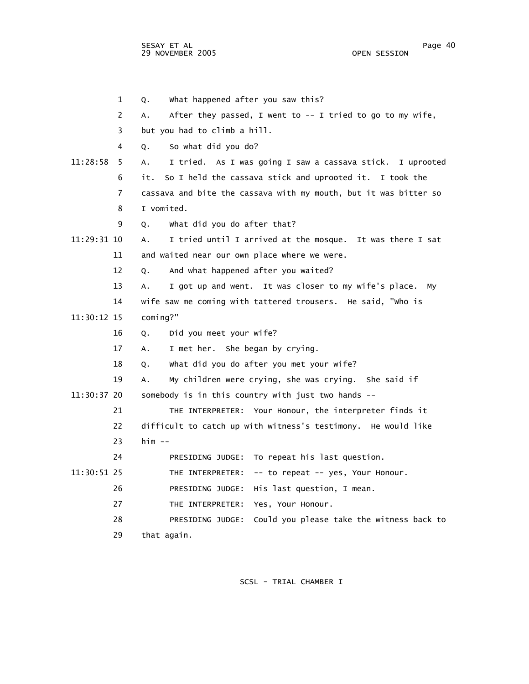SESAY ET AL Page 40 29 NOVEMBER 2005 OPEN SESSION

|               | $\mathbf{1}$ | What happened after you saw this?<br>Q.                           |
|---------------|--------------|-------------------------------------------------------------------|
|               | 2            | After they passed, I went to $-$ I tried to go to my wife,<br>А.  |
|               | 3            | but you had to climb a hill.                                      |
|               | 4            | So what did you do?<br>0.                                         |
| 11:28:58      | 5            | I tried. As I was going I saw a cassava stick. I uprooted<br>А.   |
|               | 6            | So I held the cassava stick and uprooted it. I took the<br>it.    |
|               | 7            | cassava and bite the cassava with my mouth, but it was bitter so  |
|               | 8            | I vomited.                                                        |
|               | 9            | what did you do after that?<br>Q.                                 |
| 11:29:31 10   |              | I tried until I arrived at the mosque. It was there I sat<br>А.   |
|               | 11           | and waited near our own place where we were.                      |
|               | 12           | And what happened after you waited?<br>Q.                         |
|               | 13           | I got up and went. It was closer to my wife's place.<br>A.,<br>My |
|               | 14           | wife saw me coming with tattered trousers. He said, "who is       |
| 11:30:12 15   |              | coming?"                                                          |
|               | 16           | Did you meet your wife?<br>Q.                                     |
|               | 17           | I met her. She began by crying.<br>A.                             |
|               | 18           | what did you do after you met your wife?<br>Q.                    |
|               | 19           | My children were crying, she was crying. She said if<br>Α.        |
| $11:30:37$ 20 |              | somebody is in this country with just two hands --                |
|               | 21           | THE INTERPRETER: Your Honour, the interpreter finds it            |
|               | 22           | difficult to catch up with witness's testimony. He would like     |
|               | 23           | $him - -$                                                         |
|               | 24           | PRESIDING JUDGE: To repeat his last question.                     |
| 11:30:51 25   |              | THE INTERPRETER:<br>-- to repeat -- yes, Your Honour.             |
|               | 26           | PRESIDING JUDGE:<br>His last question, I mean.                    |
|               | 27           | THE INTERPRETER:<br>Yes, Your Honour.                             |
|               | 28           | Could you please take the witness back to<br>PRESIDING JUDGE:     |
|               | 29           | that again.                                                       |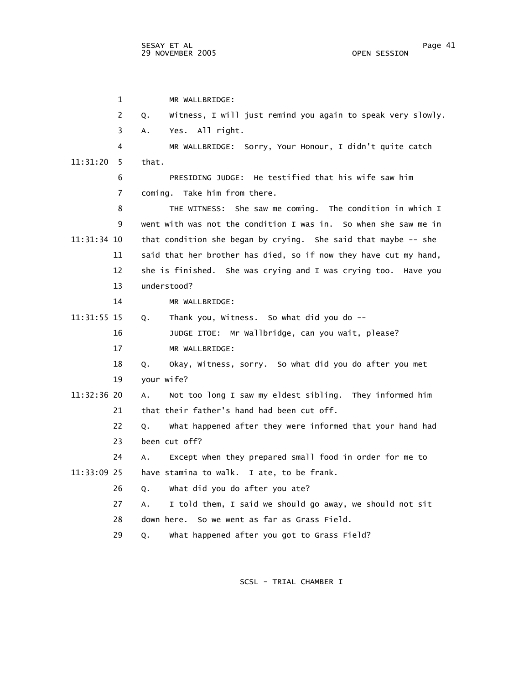1 MR WALLBRIDGE: 2 Q. Witness, I will just remind you again to speak very slowly. 3 A. Yes. All right. 4 MR WALLBRIDGE: Sorry, Your Honour, I didn't quite catch 11:31:20 5 that. 6 PRESIDING JUDGE: He testified that his wife saw him 7 coming. Take him from there. 8 THE WITNESS: She saw me coming. The condition in which I 9 went with was not the condition I was in. So when she saw me in 11:31:34 10 that condition she began by crying. She said that maybe -- she 11 said that her brother has died, so if now they have cut my hand, 12 she is finished. She was crying and I was crying too. Have you 13 understood? 14 MR WALLBRIDGE: 11:31:55 15 Q. Thank you, Witness. So what did you do -- 16 JUDGE ITOE: Mr Wallbridge, can you wait, please? 17 MR WALLBRIDGE: 18 Q. Okay, Witness, sorry. So what did you do after you met 19 your wife? 11:32:36 20 A. Not too long I saw my eldest sibling. They informed him 21 that their father's hand had been cut off. 22 Q. What happened after they were informed that your hand had 23 been cut off? 24 A. Except when they prepared small food in order for me to 11:33:09 25 have stamina to walk. I ate, to be frank. 26 Q. What did you do after you ate? 27 A. I told them, I said we should go away, we should not sit 28 down here. So we went as far as Grass Field. 29 Q. What happened after you got to Grass Field?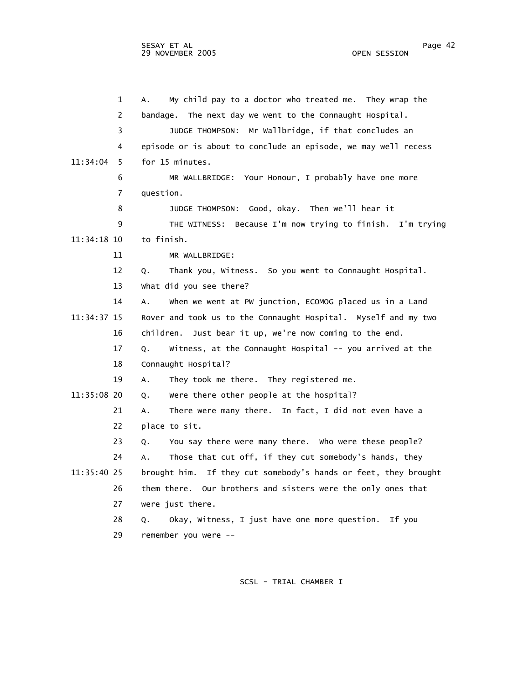1 A. My child pay to a doctor who treated me. They wrap the 2 bandage. The next day we went to the Connaught Hospital. 3 JUDGE THOMPSON: Mr Wallbridge, if that concludes an 4 episode or is about to conclude an episode, we may well recess 11:34:04 5 for 15 minutes. 6 MR WALLBRIDGE: Your Honour, I probably have one more 7 question. 8 JUDGE THOMPSON: Good, okay. Then we'll hear it 9 THE WITNESS: Because I'm now trying to finish. I'm trying 11:34:18 10 to finish. 11 MR WALLBRIDGE: 12 Q. Thank you, Witness. So you went to Connaught Hospital. 13 What did you see there? 14 A. When we went at PW junction, ECOMOG placed us in a Land 11:34:37 15 Rover and took us to the Connaught Hospital. Myself and my two 16 children. Just bear it up, we're now coming to the end. 17 Q. Witness, at the Connaught Hospital -- you arrived at the 18 Connaught Hospital? 19 A. They took me there. They registered me. 11:35:08 20 Q. Were there other people at the hospital? 21 A. There were many there. In fact, I did not even have a 22 place to sit. 23 Q. You say there were many there. Who were these people? 24 A. Those that cut off, if they cut somebody's hands, they 11:35:40 25 brought him. If they cut somebody's hands or feet, they brought 26 them there. Our brothers and sisters were the only ones that 27 were just there. 28 Q. Okay, Witness, I just have one more question. If you 29 remember you were --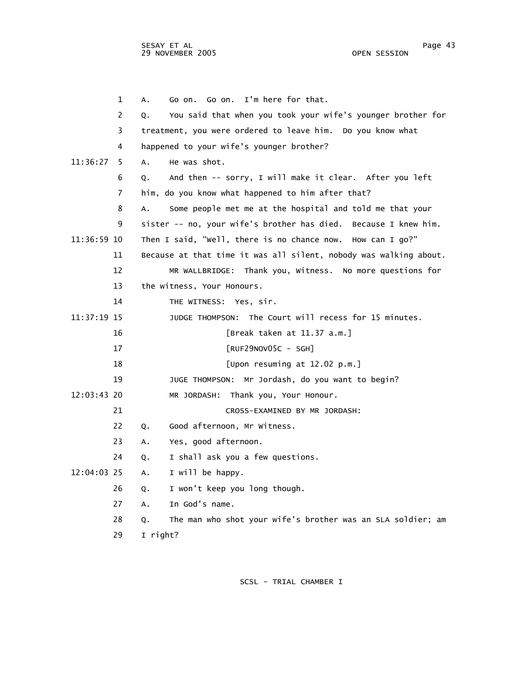1 A. Go on. Go on. I'm here for that. 2 Q. You said that when you took your wife's younger brother for 3 treatment, you were ordered to leave him. Do you know what 4 happened to your wife's younger brother? 11:36:27 5 A. He was shot. 6 Q. And then -- sorry, I will make it clear. After you left 7 him, do you know what happened to him after that? 8 A. Some people met me at the hospital and told me that your 9 sister -- no, your wife's brother has died. Because I knew him. 11:36:59 10 Then I said, "Well, there is no chance now. How can I go?" 11 Because at that time it was all silent, nobody was walking about. 12 MR WALLBRIDGE: Thank you, Witness. No more questions for 13 the witness, Your Honours. 14 THE WITNESS: Yes, sir. 11:37:19 15 JUDGE THOMPSON: The Court will recess for 15 minutes. 16 [Break taken at 11.37 a.m.] 17 [RUF29NOV05C - SGH] 18 [Upon resuming at 12.02 p.m.] 19 JUGE THOMPSON: Mr Jordash, do you want to begin? 12:03:43 20 MR JORDASH: Thank you, Your Honour. 21 CROSS-EXAMINED BY MR JORDASH: 22 Q. Good afternoon, Mr Witness. 23 A. Yes, good afternoon. 24 Q. I shall ask you a few questions. 12:04:03 25 A. I will be happy. 26 Q. I won't keep you long though. 27 A. In God's name. 28 Q. The man who shot your wife's brother was an SLA soldier; am 29 I right?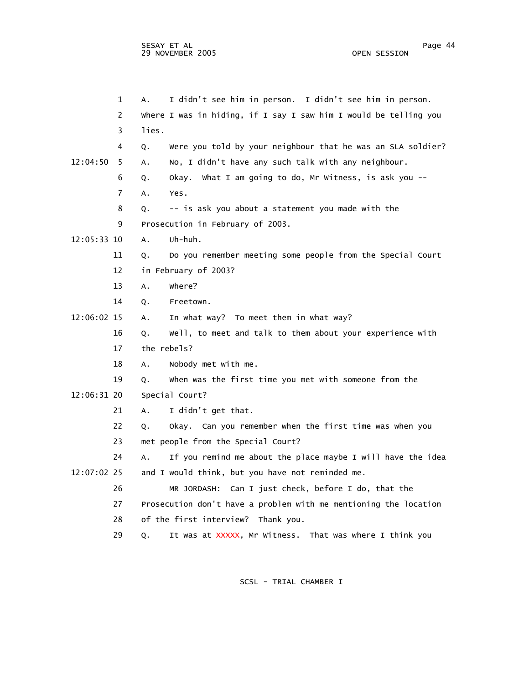1 A. I didn't see him in person. I didn't see him in person. 2 Where I was in hiding, if I say I saw him I would be telling you 3 lies. 4 Q. Were you told by your neighbour that he was an SLA soldier? 12:04:50 5 A. No, I didn't have any such talk with any neighbour. 6 Q. Okay. What I am going to do, Mr Witness, is ask you -- 7 A. Yes. 8 Q. -- is ask you about a statement you made with the 9 Prosecution in February of 2003. 12:05:33 10 A. Uh-huh. 11 Q. Do you remember meeting some people from the Special Court 12 in February of 2003? 13 A. Where? 14 Q. Freetown. 12:06:02 15 A. In what way? To meet them in what way? 16 Q. Well, to meet and talk to them about your experience with 17 the rebels? 18 A. Nobody met with me. 19 Q. When was the first time you met with someone from the 12:06:31 20 Special Court? 21 A. I didn't get that. 22 Q. Okay. Can you remember when the first time was when you 23 met people from the Special Court? 24 A. If you remind me about the place maybe I will have the idea 12:07:02 25 and I would think, but you have not reminded me. 26 MR JORDASH: Can I just check, before I do, that the 27 Prosecution don't have a problem with me mentioning the location 28 of the first interview? Thank you. 29 Q. It was at XXXXX, Mr Witness. That was where I think you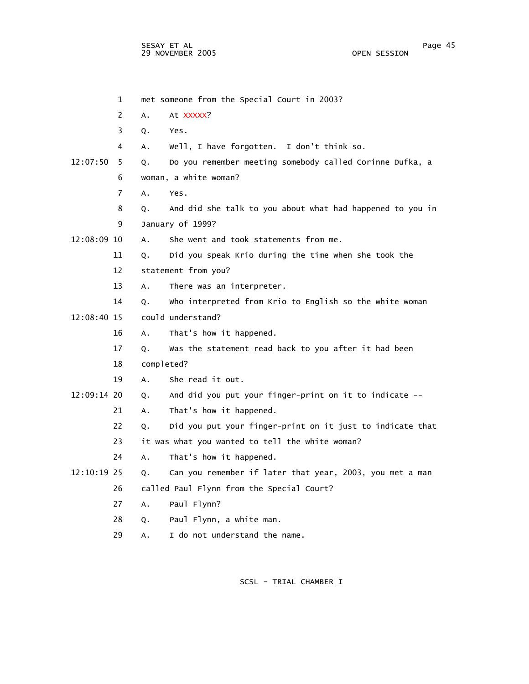1 met someone from the Special Court in 2003? 2 A. At XXXXX? 3 Q. Yes. 4 A. Well, I have forgotten. I don't think so. 12:07:50 5 Q. Do you remember meeting somebody called Corinne Dufka, a 6 woman, a white woman? 7 A. Yes. 8 Q. And did she talk to you about what had happened to you in 9 January of 1999? 12:08:09 10 A. She went and took statements from me. 11 Q. Did you speak Krio during the time when she took the 12 statement from you? 13 A. There was an interpreter. 14 Q. Who interpreted from Krio to English so the white woman 12:08:40 15 could understand? 16 A. That's how it happened. 17 Q. Was the statement read back to you after it had been 18 completed? 19 A. She read it out. 12:09:14 20 Q. And did you put your finger-print on it to indicate -- 21 A. That's how it happened. 22 Q. Did you put your finger-print on it just to indicate that 23 it was what you wanted to tell the white woman? 24 A. That's how it happened. 12:10:19 25 Q. Can you remember if later that year, 2003, you met a man 26 called Paul Flynn from the Special Court? 27 A. Paul Flynn? 28 Q. Paul Flynn, a white man. 29 A. I do not understand the name.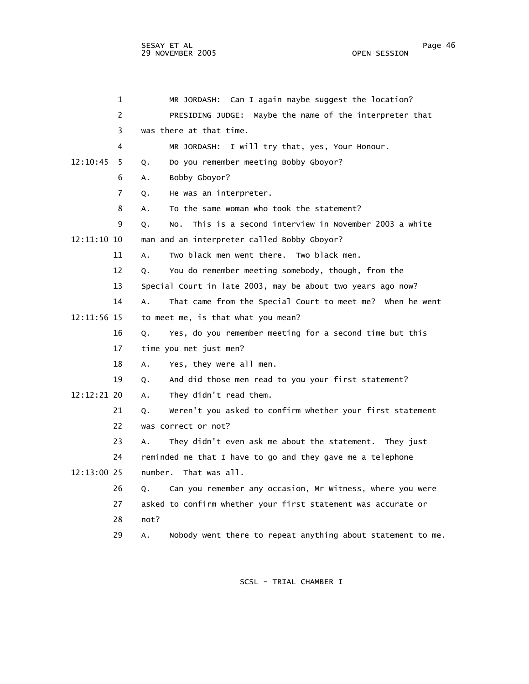1 MR JORDASH: Can I again maybe suggest the location? 2 PRESIDING JUDGE: Maybe the name of the interpreter that 3 was there at that time. 4 MR JORDASH: I will try that, yes, Your Honour. 12:10:45 5 Q. Do you remember meeting Bobby Gboyor? 6 A. Bobby Gboyor? 7 Q. He was an interpreter. 8 A. To the same woman who took the statement? 9 Q. No. This is a second interview in November 2003 a white 12:11:10 10 man and an interpreter called Bobby Gboyor? 11 A. Two black men went there. Two black men. 12 Q. You do remember meeting somebody, though, from the 13 Special Court in late 2003, may be about two years ago now? 14 A. That came from the Special Court to meet me? When he went 12:11:56 15 to meet me, is that what you mean? 16 Q. Yes, do you remember meeting for a second time but this 17 time you met just men? 18 A. Yes, they were all men. 19 Q. And did those men read to you your first statement? 12:12:21 20 A. They didn't read them. 21 Q. Weren't you asked to confirm whether your first statement 22 was correct or not? 23 A. They didn't even ask me about the statement. They just 24 reminded me that I have to go and they gave me a telephone 12:13:00 25 number. That was all. 26 Q. Can you remember any occasion, Mr Witness, where you were 27 asked to confirm whether your first statement was accurate or 28 not? 29 A. Nobody went there to repeat anything about statement to me.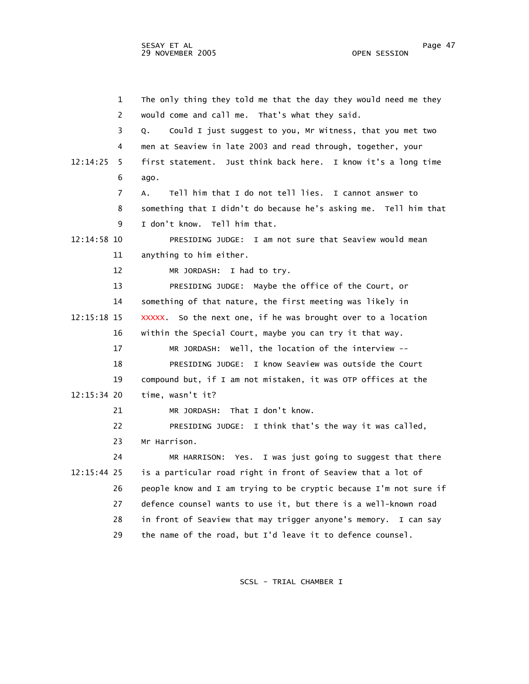1 The only thing they told me that the day they would need me they 2 would come and call me. That's what they said. 3 Q. Could I just suggest to you, Mr Witness, that you met two 4 men at Seaview in late 2003 and read through, together, your 12:14:25 5 first statement. Just think back here. I know it's a long time 6 ago. 7 A. Tell him that I do not tell lies. I cannot answer to 8 something that I didn't do because he's asking me. Tell him that 9 I don't know. Tell him that. 12:14:58 10 PRESIDING JUDGE: I am not sure that Seaview would mean 11 anything to him either. 12 MR JORDASH: I had to try. 13 PRESIDING JUDGE: Maybe the office of the Court, or 14 something of that nature, the first meeting was likely in 12:15:18 15 XXXXX. So the next one, if he was brought over to a location 16 within the Special Court, maybe you can try it that way. 17 MR JORDASH: Well, the location of the interview -- 18 PRESIDING JUDGE: I know Seaview was outside the Court 19 compound but, if I am not mistaken, it was OTP offices at the 12:15:34 20 time, wasn't it? 21 MR JORDASH: That I don't know. 22 PRESIDING JUDGE: I think that's the way it was called, 23 Mr Harrison. 24 MR HARRISON: Yes. I was just going to suggest that there 12:15:44 25 is a particular road right in front of Seaview that a lot of 26 people know and I am trying to be cryptic because I'm not sure if 27 defence counsel wants to use it, but there is a well-known road 28 in front of Seaview that may trigger anyone's memory. I can say 29 the name of the road, but I'd leave it to defence counsel.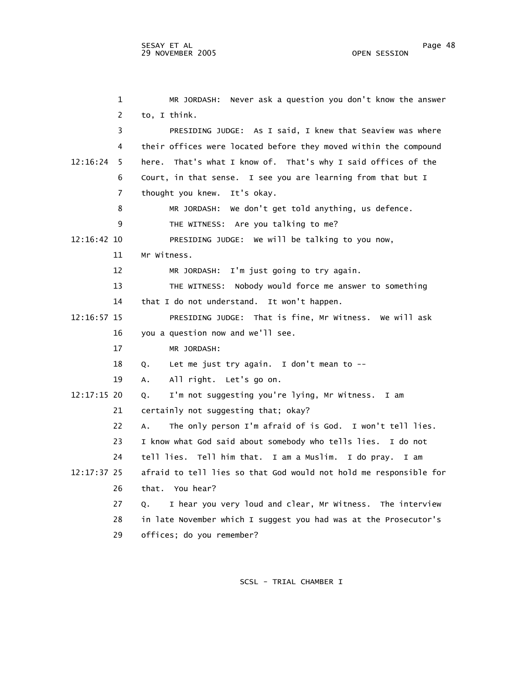```
 1 MR JORDASH: Never ask a question you don't know the answer 
         2 to, I think. 
         3 PRESIDING JUDGE: As I said, I knew that Seaview was where 
         4 their offices were located before they moved within the compound 
12:16:24 5 here. That's what I know of. That's why I said offices of the 
         6 Court, in that sense. I see you are learning from that but I 
         7 thought you knew. It's okay. 
         8 MR JORDASH: We don't get told anything, us defence. 
         9 THE WITNESS: Are you talking to me? 
12:16:42 10 PRESIDING JUDGE: We will be talking to you now, 
        11 Mr Witness. 
        12 MR JORDASH: I'm just going to try again. 
        13 THE WITNESS: Nobody would force me answer to something 
       14 that I do not understand. It won't happen.
12:16:57 15 PRESIDING JUDGE: That is fine, Mr Witness. We will ask 
        16 you a question now and we'll see. 
        17 MR JORDASH: 
        18 Q. Let me just try again. I don't mean to -- 
        19 A. All right. Let's go on. 
12:17:15 20 Q. I'm not suggesting you're lying, Mr Witness. I am 
        21 certainly not suggesting that; okay? 
        22 A. The only person I'm afraid of is God. I won't tell lies. 
        23 I know what God said about somebody who tells lies. I do not 
        24 tell lies. Tell him that. I am a Muslim. I do pray. I am 
12:17:37 25 afraid to tell lies so that God would not hold me responsible for 
        26 that. You hear? 
        27 Q. I hear you very loud and clear, Mr Witness. The interview 
        28 in late November which I suggest you had was at the Prosecutor's 
        29 offices; do you remember?
```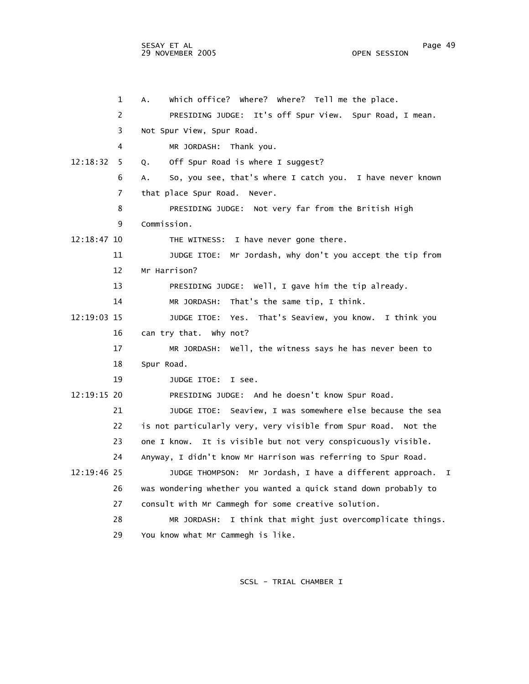SESAY ET AL Page 49 29 NOVEMBER 2005

 1 A. Which office? Where? Where? Tell me the place. 2 PRESIDING JUDGE: It's off Spur View. Spur Road, I mean. 3 Not Spur View, Spur Road. 4 MR JORDASH: Thank you. 12:18:32 5 Q. Off Spur Road is where I suggest? 6 A. So, you see, that's where I catch you. I have never known 7 that place Spur Road. Never. 8 PRESIDING JUDGE: Not very far from the British High 9 Commission. 12:18:47 10 THE WITNESS: I have never gone there. 11 JUDGE ITOE: Mr Jordash, why don't you accept the tip from 12 Mr Harrison? 13 PRESIDING JUDGE: Well, I gave him the tip already. 14 MR JORDASH: That's the same tip, I think. 12:19:03 15 JUDGE ITOE: Yes. That's Seaview, you know. I think you 16 can try that. Why not? 17 MR JORDASH: Well, the witness says he has never been to 18 Spur Road. 19 JUDGE ITOE: I see. 12:19:15 20 PRESIDING JUDGE: And he doesn't know Spur Road. 21 JUDGE ITOE: Seaview, I was somewhere else because the sea 22 is not particularly very, very visible from Spur Road. Not the 23 one I know. It is visible but not very conspicuously visible. 24 Anyway, I didn't know Mr Harrison was referring to Spur Road. 12:19:46 25 JUDGE THOMPSON: Mr Jordash, I have a different approach. I 26 was wondering whether you wanted a quick stand down probably to 27 consult with Mr Cammegh for some creative solution. 28 MR JORDASH: I think that might just overcomplicate things. 29 You know what Mr Cammegh is like.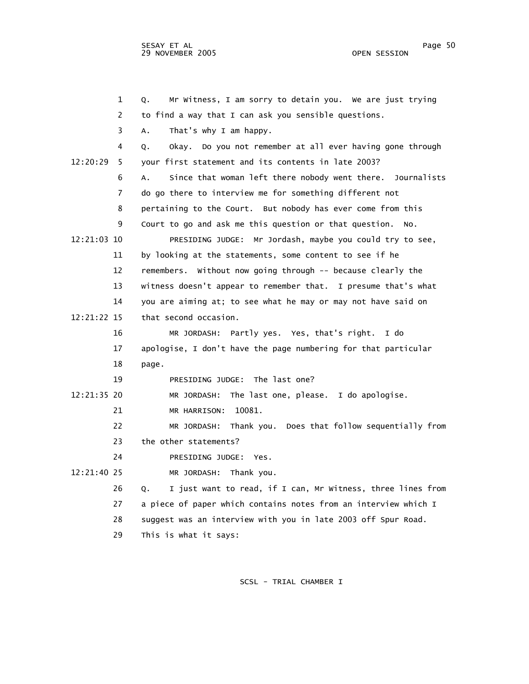1 Q. Mr Witness, I am sorry to detain you. We are just trying 2 to find a way that I can ask you sensible questions. 3 A. That's why I am happy. 4 Q. Okay. Do you not remember at all ever having gone through 12:20:29 5 your first statement and its contents in late 2003? 6 A. Since that woman left there nobody went there. Journalists 7 do go there to interview me for something different not 8 pertaining to the Court. But nobody has ever come from this 9 Court to go and ask me this question or that question. No. 12:21:03 10 PRESIDING JUDGE: Mr Jordash, maybe you could try to see, 11 by looking at the statements, some content to see if he 12 remembers. Without now going through -- because clearly the 13 witness doesn't appear to remember that. I presume that's what 14 you are aiming at; to see what he may or may not have said on 12:21:22 15 that second occasion. 16 MR JORDASH: Partly yes. Yes, that's right. I do 17 apologise, I don't have the page numbering for that particular 18 page. 19 PRESIDING JUDGE: The last one? 12:21:35 20 MR JORDASH: The last one, please. I do apologise. 21 MR HARRISON: 10081. 22 MR JORDASH: Thank you. Does that follow sequentially from 23 the other statements? 24 PRESIDING JUDGE: Yes. 12:21:40 25 MR JORDASH: Thank you. 26 Q. I just want to read, if I can, Mr Witness, three lines from 27 a piece of paper which contains notes from an interview which I 28 suggest was an interview with you in late 2003 off Spur Road. 29 This is what it says: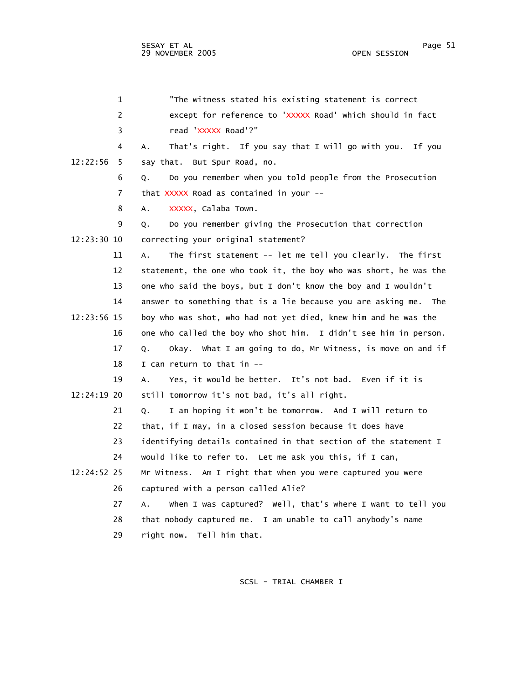1 "The witness stated his existing statement is correct 2 except for reference to 'XXXXX Road' which should in fact 3 read 'XXXXX Road'?" 4 A. That's right. If you say that I will go with you. If you 12:22:56 5 say that. But Spur Road, no. 6 Q. Do you remember when you told people from the Prosecution 7 that XXXXX Road as contained in your --8 A. XXXXX, Calaba Town. 9 Q. Do you remember giving the Prosecution that correction 12:23:30 10 correcting your original statement? 11 A. The first statement -- let me tell you clearly. The first 12 statement, the one who took it, the boy who was short, he was the 13 one who said the boys, but I don't know the boy and I wouldn't 14 answer to something that is a lie because you are asking me. The 12:23:56 15 boy who was shot, who had not yet died, knew him and he was the 16 one who called the boy who shot him. I didn't see him in person. 17 Q. Okay. What I am going to do, Mr Witness, is move on and if 18 I can return to that in -- 19 A. Yes, it would be better. It's not bad. Even if it is 12:24:19 20 still tomorrow it's not bad, it's all right. 21 Q. I am hoping it won't be tomorrow. And I will return to 22 that, if I may, in a closed session because it does have 23 identifying details contained in that section of the statement I 24 would like to refer to. Let me ask you this, if I can, 12:24:52 25 Mr Witness. Am I right that when you were captured you were 26 captured with a person called Alie? 27 A. When I was captured? Well, that's where I want to tell you 28 that nobody captured me. I am unable to call anybody's name 29 right now. Tell him that.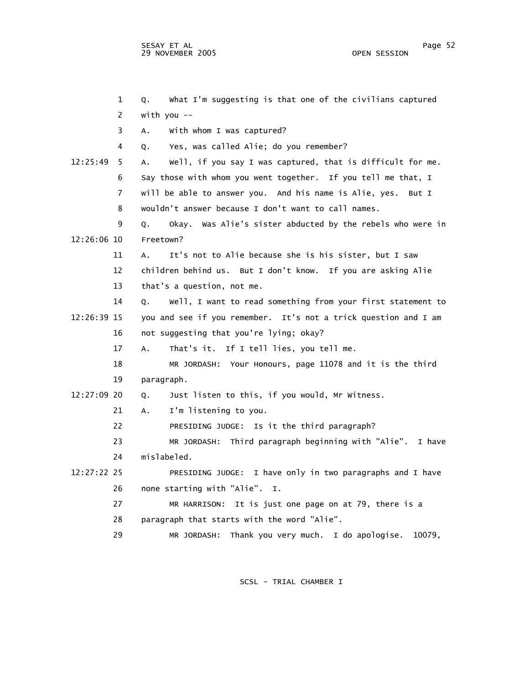|             | $\mathbf 1$ | What I'm suggesting is that one of the civilians captured<br>Q.   |
|-------------|-------------|-------------------------------------------------------------------|
|             | 2           | with you $--$                                                     |
|             | 3           | With whom I was captured?<br>А.                                   |
|             | 4           | Yes, was called Alie; do you remember?<br>Q.                      |
| 12:25:49    | 5           | Well, if you say I was captured, that is difficult for me.<br>А.  |
|             | 6           | Say those with whom you went together. If you tell me that, I     |
|             | 7           | will be able to answer you. And his name is Alie, yes.<br>But I   |
|             | 8           | wouldn't answer because I don't want to call names.               |
|             | 9           | Okay. Was Alie's sister abducted by the rebels who were in<br>Q.  |
| 12:26:06 10 |             | Freetown?                                                         |
|             | 11          | It's not to Alie because she is his sister, but I saw<br>А.       |
|             | 12          | children behind us. But I don't know. If you are asking Alie      |
|             | 13          | that's a question, not me.                                        |
|             | 14          | Well, I want to read something from your first statement to<br>Q. |
| 12:26:39 15 |             | you and see if you remember. It's not a trick question and I am   |
|             | 16          | not suggesting that you're lying; okay?                           |
|             | 17          | That's it. If I tell lies, you tell me.<br>A.                     |
|             | 18          | MR JORDASH: Your Honours, page 11078 and it is the third          |
|             | 19          | paragraph.                                                        |
| 12:27:09 20 |             | Just listen to this, if you would, Mr Witness.<br>Q.              |
|             | 21          | I'm listening to you.<br>A.,                                      |
|             | 22          | PRESIDING JUDGE: Is it the third paragraph?                       |
|             | 23          | MR JORDASH: Third paragraph beginning with "Alie". I have         |
|             | 24          | mislabeled.                                                       |
| 12:27:22 25 |             | PRESIDING JUDGE: I have only in two paragraphs and I have         |
|             | 26          | none starting with "Alie". I.                                     |
|             | 27          | MR HARRISON: It is just one page on at 79, there is a             |
|             | 28          | paragraph that starts with the word "Alie".                       |
|             | 29          | Thank you very much. I do apologise.<br>10079,<br>MR JORDASH:     |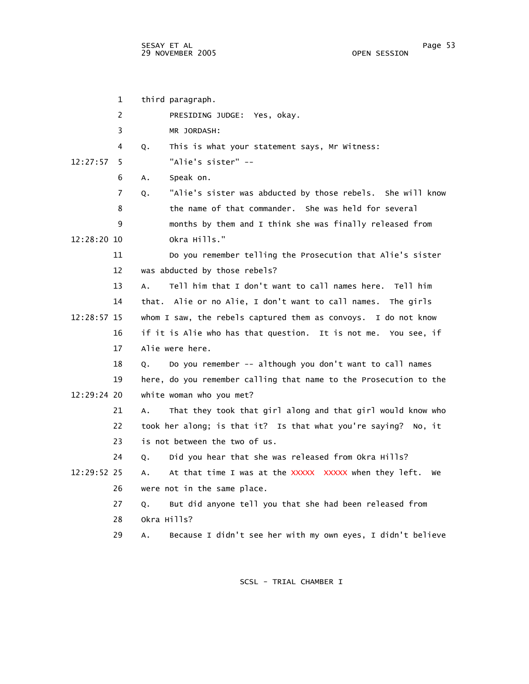|               | 1              | third paragraph.                                                  |
|---------------|----------------|-------------------------------------------------------------------|
|               | 2              | PRESIDING JUDGE: Yes, okay.                                       |
|               | 3              | MR JORDASH:                                                       |
|               | 4              | This is what your statement says, Mr Witness:<br>Q.               |
| 12:27:57      | 5              | "Alie's sister" --                                                |
|               | 6              | Speak on.<br>А.                                                   |
|               | $\overline{7}$ | "Alie's sister was abducted by those rebels. She will know<br>Q.  |
|               | 8              | the name of that commander. She was held for several              |
|               | 9              | months by them and I think she was finally released from          |
| 12:28:20 10   |                | Okra Hills."                                                      |
|               | 11             | Do you remember telling the Prosecution that Alie's sister        |
|               | 12             | was abducted by those rebels?                                     |
|               | 13             | Tell him that I don't want to call names here. Tell him<br>Α.     |
|               | 14             | that. Alie or no Alie, I don't want to call names. The girls      |
| $12:28:57$ 15 |                | whom I saw, the rebels captured them as convoys. I do not know    |
|               | 16             | if it is Alie who has that question. It is not me. You see, if    |
|               | 17             | Alie were here.                                                   |
|               | 18             | Do you remember -- although you don't want to call names<br>Q.    |
|               | 19             | here, do you remember calling that name to the Prosecution to the |
| 12:29:24 20   |                | white woman who you met?                                          |
|               | 21             | That they took that girl along and that girl would know who<br>А. |
|               | 22             | took her along; is that it? Is that what you're saying?<br>No, it |
|               | 23             | is not between the two of us.                                     |
|               | 24             | Did you hear that she was released from Okra Hills?<br>Q.         |
| 12:29:52 25   |                | At that time I was at the XXXXX XXXXX when they left.<br>А.<br>we |
|               | 26             | were not in the same place.                                       |
|               | 27             | But did anyone tell you that she had been released from<br>Q.     |
|               | 28             | Okra Hills?                                                       |
|               | 29             | Because I didn't see her with my own eyes, I didn't believe<br>А. |
|               |                |                                                                   |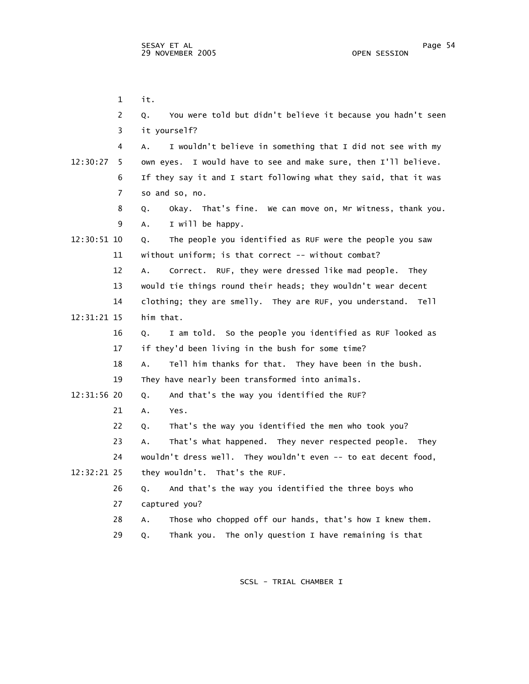| $\mathbf{1}$   | it.                                                               |
|----------------|-------------------------------------------------------------------|
| 2              | You were told but didn't believe it because you hadn't seen<br>Q. |
| 3              | it yourself?                                                      |
| 4              | I wouldn't believe in something that I did not see with my<br>А.  |
| 12:30:27<br>5. | own eyes. I would have to see and make sure, then I'll believe.   |
| 6              | If they say it and I start following what they said, that it was  |
| $\overline{7}$ | so and so, no.                                                    |
| 8              | Okay. That's fine. We can move on, Mr Witness, thank you.<br>Q.   |
| 9              | I will be happy.<br>А.                                            |
| 12:30:51 10    | The people you identified as RUF were the people you saw<br>Q.    |
| 11             | without uniform; is that correct -- without combat?               |
| 12             | Correct. RUF, they were dressed like mad people. They<br>A.       |
| 13             | would tie things round their heads; they wouldn't wear decent     |
| 14             | clothing; they are smelly. They are RUF, you understand. Tell     |
| 12:31:21 15    | him that.                                                         |
| 16             | I am told. So the people you identified as RUF looked as<br>Q.    |
| 17             | if they'd been living in the bush for some time?                  |
| 18             | Tell him thanks for that. They have been in the bush.<br>A.       |
| 19             | They have nearly been transformed into animals.                   |
| 12:31:56 20    | And that's the way you identified the RUF?<br>Q.                  |
| 21             | А.<br>Yes.                                                        |
| 22             | That's the way you identified the men who took you?<br>Q.         |
| 23             | That's what happened. They never respected people.<br>А.<br>They  |
| 24             | wouldn't dress well. They wouldn't even -- to eat decent food,    |
| 12:32:21 25    | they wouldn't. That's the RUF.                                    |
| 26             | And that's the way you identified the three boys who<br>Q.        |
| 27             | captured you?                                                     |
| 28             | Those who chopped off our hands, that's how I knew them.<br>Α.    |
| 29             | The only question I have remaining is that<br>Thank you.<br>Q.    |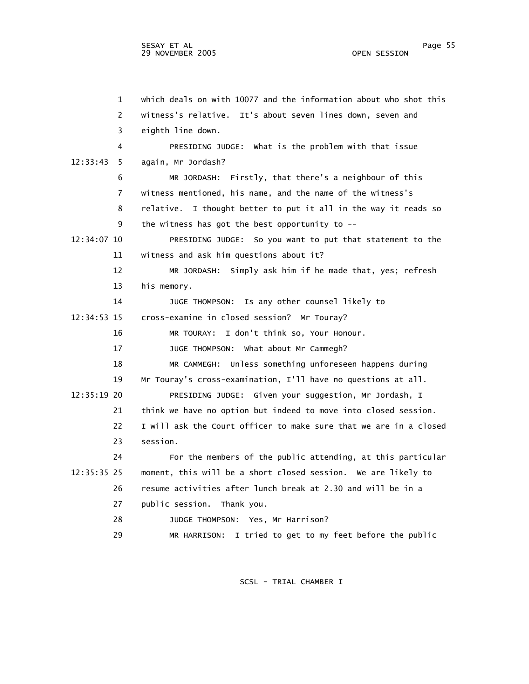1 which deals on with 10077 and the information about who shot this 2 witness's relative. It's about seven lines down, seven and 3 eighth line down. 4 PRESIDING JUDGE: What is the problem with that issue 12:33:43 5 again, Mr Jordash? 6 MR JORDASH: Firstly, that there's a neighbour of this 7 witness mentioned, his name, and the name of the witness's 8 relative. I thought better to put it all in the way it reads so 9 the witness has got the best opportunity to -- 12:34:07 10 PRESIDING JUDGE: So you want to put that statement to the 11 witness and ask him questions about it? 12 MR JORDASH: Simply ask him if he made that, yes; refresh 13 his memory. 14 JUGE THOMPSON: Is any other counsel likely to 12:34:53 15 cross-examine in closed session? Mr Touray? 16 MR TOURAY: I don't think so, Your Honour. 17 JUGE THOMPSON: What about Mr Cammegh? 18 MR CAMMEGH: Unless something unforeseen happens during 19 Mr Touray's cross-examination, I'll have no questions at all. 12:35:19 20 PRESIDING JUDGE: Given your suggestion, Mr Jordash, I 21 think we have no option but indeed to move into closed session. 22 I will ask the Court officer to make sure that we are in a closed 23 session. 24 For the members of the public attending, at this particular 12:35:35 25 moment, this will be a short closed session. We are likely to 26 resume activities after lunch break at 2.30 and will be in a 27 public session. Thank you. 28 JUDGE THOMPSON: Yes, Mr Harrison? 29 MR HARRISON: I tried to get to my feet before the public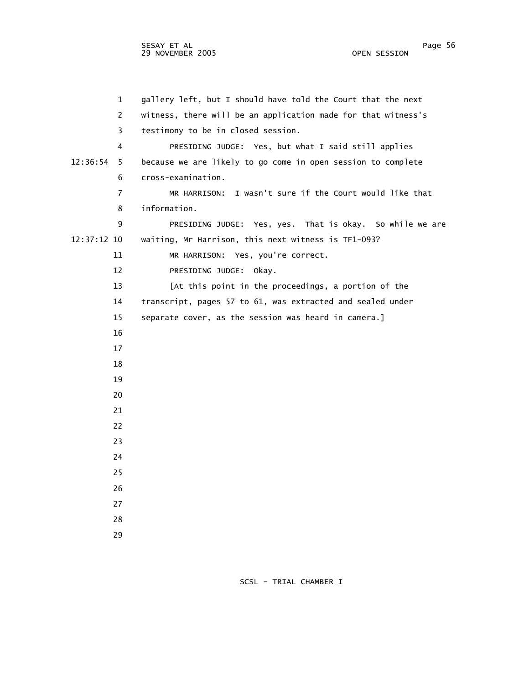1 gallery left, but I should have told the Court that the next 2 witness, there will be an application made for that witness's 3 testimony to be in closed session. 4 PRESIDING JUDGE: Yes, but what I said still applies 12:36:54 5 because we are likely to go come in open session to complete 6 cross-examination. 7 MR HARRISON: I wasn't sure if the Court would like that 8 information. 9 PRESIDING JUDGE: Yes, yes. That is okay. So while we are 12:37:12 10 waiting, Mr Harrison, this next witness is TF1-093? 11 MR HARRISON: Yes, you're correct. 12 PRESIDING JUDGE: Okay. 13 [At this point in the proceedings, a portion of the 14 transcript, pages 57 to 61, was extracted and sealed under 15 separate cover, as the session was heard in camera.] 16 17 18 19 20 21 22 23 24 25 26 27 28 29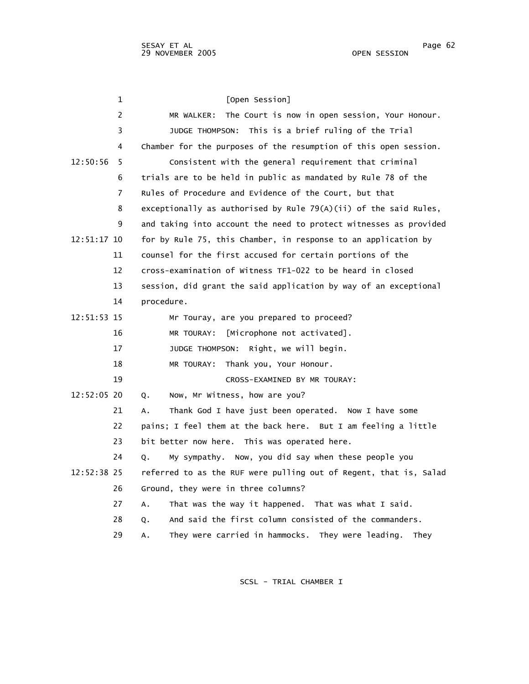| 1              | [Open Session]                                                    |
|----------------|-------------------------------------------------------------------|
| $\overline{2}$ | The Court is now in open session, Your Honour.<br>MR WALKER:      |
| 3              | This is a brief ruling of the Trial<br>JUDGE THOMPSON:            |
| 4              | Chamber for the purposes of the resumption of this open session.  |
| 12:50:56<br>5  | Consistent with the general requirement that criminal             |
| 6              | trials are to be held in public as mandated by Rule 78 of the     |
| 7              | Rules of Procedure and Evidence of the Court, but that            |
| 8              | exceptionally as authorised by Rule 79(A)(ii) of the said Rules,  |
| 9              | and taking into account the need to protect witnesses as provided |
| 12:51:17 10    | for by Rule 75, this Chamber, in response to an application by    |
| 11             | counsel for the first accused for certain portions of the         |
| 12             | cross-examination of Witness TF1-022 to be heard in closed        |
| 13             | session, did grant the said application by way of an exceptional  |
| 14             | procedure.                                                        |
| 12:51:53 15    | Mr Touray, are you prepared to proceed?                           |
| 16             | [Microphone not activated].<br>MR TOURAY:                         |
| 17             | JUDGE THOMPSON: Right, we will begin.                             |
| 18             | MR TOURAY:<br>Thank you, Your Honour.                             |
| 19             | CROSS-EXAMINED BY MR TOURAY:                                      |
| 12:52:05 20    | Now, Mr Witness, how are you?<br>Q.                               |
| 21             | Thank God I have just been operated. Now I have some<br>А.        |
| 22             | pains; I feel them at the back here. But I am feeling a little    |
| 23             | bit better now here. This was operated here.                      |
| 24             | My sympathy. Now, you did say when these people you<br>Q.         |
| 12:52:38 25    | referred to as the RUF were pulling out of Regent, that is, Salad |
| 26             | Ground, they were in three columns?                               |
| 27             | That was the way it happened. That was what I said.<br>A.         |
| 28             | And said the first column consisted of the commanders.<br>Q.      |
| 29             | They were carried in hammocks. They were leading.<br>They<br>А.   |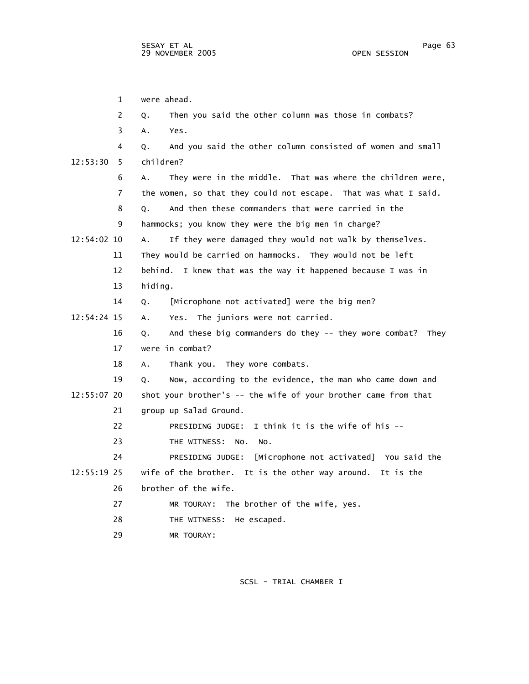1 were ahead. 2 Q. Then you said the other column was those in combats? 3 A. Yes. 4 Q. And you said the other column consisted of women and small 12:53:30 5 children? 6 A. They were in the middle. That was where the children were, 7 the women, so that they could not escape. That was what I said. 8 Q. And then these commanders that were carried in the 9 hammocks; you know they were the big men in charge? 12:54:02 10 A. If they were damaged they would not walk by themselves. 11 They would be carried on hammocks. They would not be left 12 behind. I knew that was the way it happened because I was in 13 hiding. 14 Q. [Microphone not activated] were the big men? 12:54:24 15 A. Yes. The juniors were not carried. 16 Q. And these big commanders do they -- they wore combat? They 17 were in combat? 18 A. Thank you. They wore combats. 19 Q. Now, according to the evidence, the man who came down and 12:55:07 20 shot your brother's -- the wife of your brother came from that 21 group up Salad Ground. 22 PRESIDING JUDGE: I think it is the wife of his -- 23 THE WITNESS: No. No. 24 PRESIDING JUDGE: [Microphone not activated] You said the 12:55:19 25 wife of the brother. It is the other way around. It is the 26 brother of the wife. 27 MR TOURAY: The brother of the wife, yes. 28 THE WITNESS: He escaped. 29 MR TOURAY: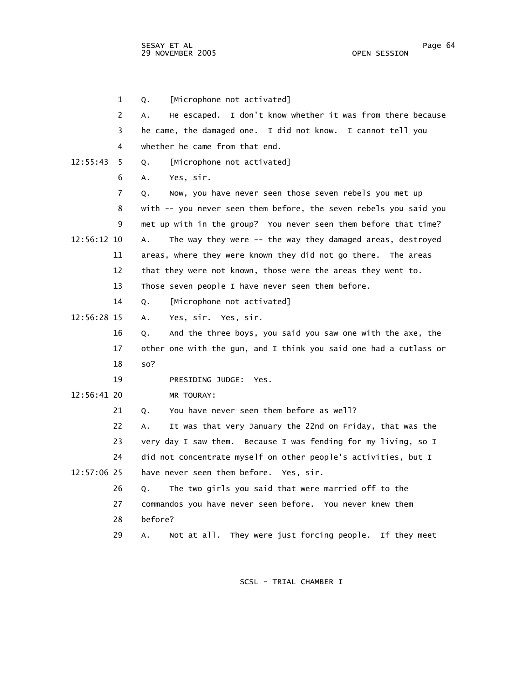sesay et al. International and the session of the session of the session of the session of the session of the s 29 NOVEMBER 2005 OPEN SESSION

|             | $\mathbf{1}$   | [Microphone not activated]<br>Q.                                    |
|-------------|----------------|---------------------------------------------------------------------|
|             | 2              | He escaped. I don't know whether it was from there because<br>А.    |
|             | 3              | he came, the damaged one. I did not know. I cannot tell you         |
|             | 4              | whether he came from that end.                                      |
| 12:55:43    | 5              | [Microphone not activated]<br>Q.                                    |
|             | 6              | Yes, sir.<br>А.                                                     |
|             | $\overline{7}$ | Now, you have never seen those seven rebels you met up<br>Q.        |
|             | 8              | with -- you never seen them before, the seven rebels you said you   |
|             | 9              | met up with in the group? You never seen them before that time?     |
| 12:56:12 10 |                | The way they were -- the way they damaged areas, destroyed<br>A.    |
|             | 11             | areas, where they were known they did not go there. The areas       |
|             | 12             | that they were not known, those were the areas they went to.        |
|             | 13             | Those seven people I have never seen them before.                   |
|             | 14             | [Microphone not activated]<br>Q.                                    |
| 12:56:28 15 |                | Yes, sir. Yes, sir.<br>Α.                                           |
|             | 16             | And the three boys, you said you saw one with the axe, the<br>Q.    |
|             | 17             | other one with the gun, and I think you said one had a cutlass or   |
|             | 18             | so?                                                                 |
|             | 19             | PRESIDING JUDGE:<br>Yes.                                            |
| 12:56:41 20 |                | MR TOURAY:                                                          |
|             | 21             | You have never seen them before as well?<br>Q.                      |
|             | 22             | It was that very January the 22nd on Friday, that was the<br>А.     |
|             | 23             | very day I saw them. Because I was fending for my living, so I      |
|             | 24             | did not concentrate myself on other people's activities, but I      |
| 12:57:06 25 |                | have never seen them before. Yes, sir.                              |
|             | 26             | The two girls you said that were married off to the<br>Q.           |
|             | 27             | commandos you have never seen before. You never knew them           |
|             | 28             | before?                                                             |
|             | 29             | They were just forcing people.<br>If they meet<br>Not at all.<br>А. |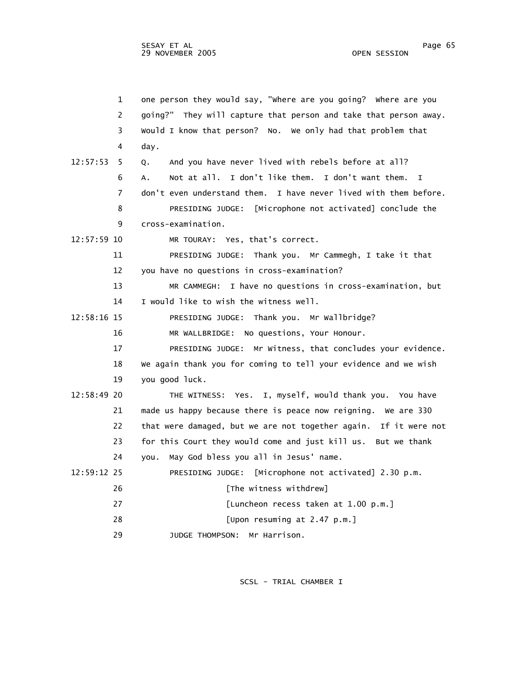| $\mathbf{1}$  | one person they would say, "where are you going? Where are you   |
|---------------|------------------------------------------------------------------|
| 2             | going?" They will capture that person and take that person away. |
| 3             | Would I know that person? No. We only had that problem that      |
| 4             | day.                                                             |
| 12:57:53<br>5 | And you have never lived with rebels before at all?<br>0.        |
| 6             | Not at all. I don't like them. I don't want them.<br>Α.<br>T     |
| 7             | don't even understand them. I have never lived with them before. |
| 8             | PRESIDING JUDGE: [Microphone not activated] conclude the         |
| 9             | cross-examination.                                               |
| 12:57:59 10   | MR TOURAY: Yes, that's correct.                                  |
| 11            | PRESIDING JUDGE: Thank you. Mr Cammegh, I take it that           |
| 12            | you have no questions in cross-examination?                      |
| 13            | MR CAMMEGH: I have no questions in cross-examination, but        |
| 14            | I would like to wish the witness well.                           |
| 12:58:16 15   | PRESIDING JUDGE: Thank you. Mr Wallbridge?                       |
| 16            | MR WALLBRIDGE: No questions, Your Honour.                        |
| 17            | PRESIDING JUDGE: Mr Witness, that concludes your evidence.       |
| 18            | We again thank you for coming to tell your evidence and we wish  |
| 19            | you good luck.                                                   |
| $12:58:49$ 20 | THE WITNESS: Yes. I, myself, would thank you. You have           |
| 21            | made us happy because there is peace now reigning. We are 330    |
| 22            | that were damaged, but we are not together again. If it were not |
| 23            | for this Court they would come and just kill us. But we thank    |
| 24            | May God bless you all in Jesus' name.<br>you.                    |
| 12:59:12 25   | PRESIDING JUDGE:<br>[Microphone not activated] 2.30 p.m.         |
| 26            | [The witness withdrew]                                           |
| 27            | [Luncheon recess taken at 1.00 p.m.]                             |
| 28            | [Upon resuming at 2.47 p.m.]                                     |
| 29            | Mr Harrison.<br>JUDGE THOMPSON:                                  |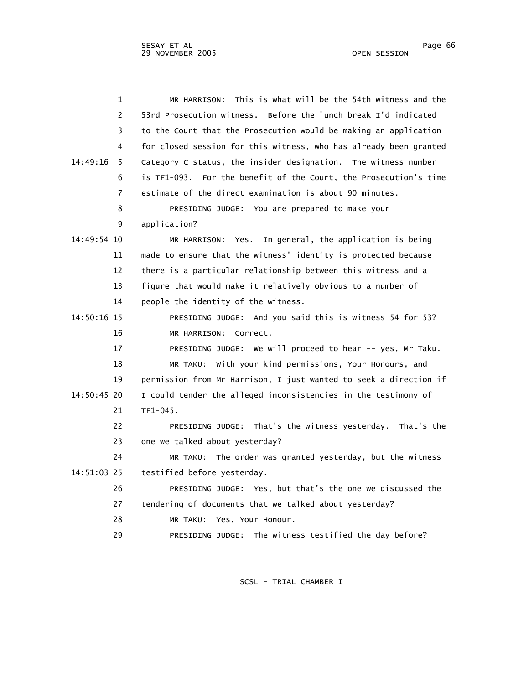| 1              | This is what will be the 54th witness and the<br>MR HARRISON:     |
|----------------|-------------------------------------------------------------------|
| $\overline{2}$ | 53rd Prosecution witness. Before the lunch break I'd indicated    |
| 3              | to the Court that the Prosecution would be making an application  |
| $\overline{4}$ | for closed session for this witness, who has already been granted |
| 14:49:16<br>5  | Category C status, the insider designation. The witness number    |
| 6              | is TF1-093. For the benefit of the Court, the Prosecution's time  |
| $\overline{7}$ | estimate of the direct examination is about 90 minutes.           |
| 8              | PRESIDING JUDGE: You are prepared to make your                    |
| 9              | application?                                                      |
| 14:49:54 10    | Yes. In general, the application is being<br>MR HARRISON:         |
| 11             | made to ensure that the witness' identity is protected because    |
| 12             | there is a particular relationship between this witness and a     |
| 13             | figure that would make it relatively obvious to a number of       |
| 14             | people the identity of the witness.                               |
| 14:50:16 15    | PRESIDING JUDGE: And you said this is witness 54 for 53?          |
| 16             | MR HARRISON: Correct.                                             |
| 17             | PRESIDING JUDGE: We will proceed to hear -- yes, Mr Taku.         |
| 18             | MR TAKU: With your kind permissions, Your Honours, and            |
| 19             | permission from Mr Harrison, I just wanted to seek a direction if |
| 14:50:45 20    | I could tender the alleged inconsistencies in the testimony of    |
| 21             | TF1-045.                                                          |
| 22             | PRESIDING JUDGE: That's the witness yesterday. That's the         |
| 23             | one we talked about yesterday?                                    |
| 24             | MR TAKU: The order was granted yesterday, but the witness         |
| 14:51:03 25    | testified before yesterday.                                       |
| 26             | PRESIDING JUDGE: Yes, but that's the one we discussed the         |
| 27             | tendering of documents that we talked about yesterday?            |
| 28             | MR TAKU: Yes, Your Honour.                                        |
| 29             | PRESIDING JUDGE: The witness testified the day before?            |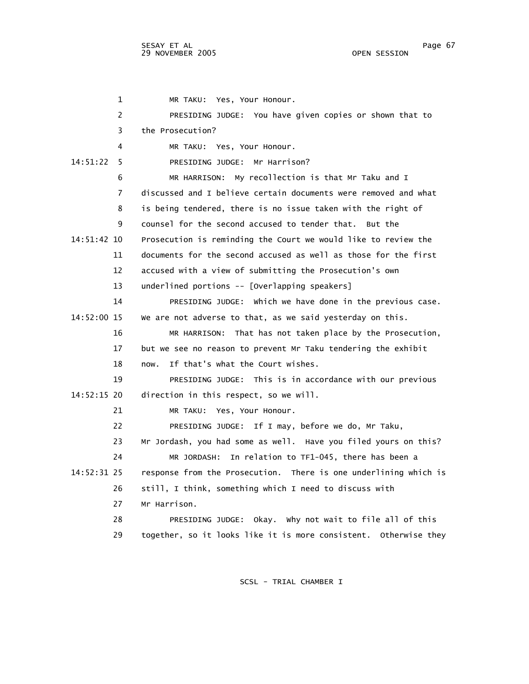1 MR TAKU: Yes, Your Honour. 2 PRESIDING JUDGE: You have given copies or shown that to 3 the Prosecution? 4 MR TAKU: Yes, Your Honour. 14:51:22 5 PRESIDING JUDGE: Mr Harrison? 6 MR HARRISON: My recollection is that Mr Taku and I 7 discussed and I believe certain documents were removed and what 8 is being tendered, there is no issue taken with the right of 9 counsel for the second accused to tender that. But the 14:51:42 10 Prosecution is reminding the Court we would like to review the 11 documents for the second accused as well as those for the first 12 accused with a view of submitting the Prosecution's own 13 underlined portions -- [Overlapping speakers] 14 PRESIDING JUDGE: Which we have done in the previous case. 14:52:00 15 We are not adverse to that, as we said yesterday on this. 16 MR HARRISON: That has not taken place by the Prosecution, 17 but we see no reason to prevent Mr Taku tendering the exhibit 18 now. If that's what the Court wishes. 19 PRESIDING JUDGE: This is in accordance with our previous 14:52:15 20 direction in this respect, so we will. 21 MR TAKU: Yes, Your Honour. 22 PRESIDING JUDGE: If I may, before we do, Mr Taku, 23 Mr Jordash, you had some as well. Have you filed yours on this? 24 MR JORDASH: In relation to TF1-045, there has been a 14:52:31 25 response from the Prosecution. There is one underlining which is 26 still, I think, something which I need to discuss with 27 Mr Harrison. 28 PRESIDING JUDGE: Okay. Why not wait to file all of this 29 together, so it looks like it is more consistent. Otherwise they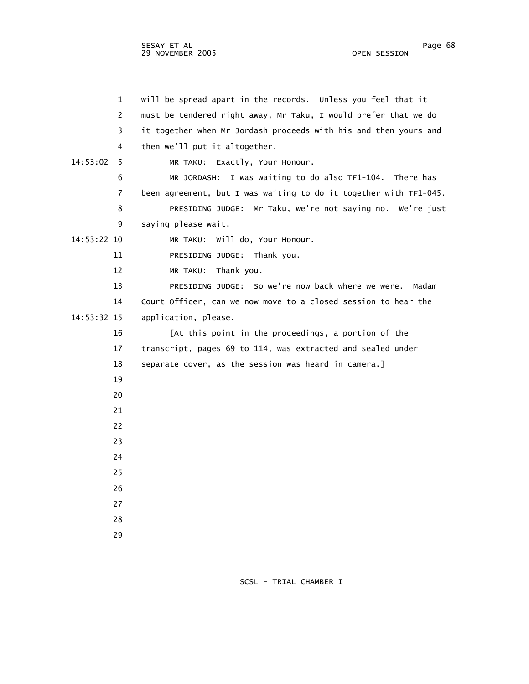| $\mathbf{1}$   | will be spread apart in the records. Unless you feel that it      |
|----------------|-------------------------------------------------------------------|
| $\overline{2}$ | must be tendered right away, Mr Taku, I would prefer that we do   |
| 3              | it together when Mr Jordash proceeds with his and then yours and  |
| 4              | then we'll put it altogether.                                     |
| 14:53:02<br>5. | MR TAKU: Exactly, Your Honour.                                    |
| 6              | I was waiting to do also TF1-104. There has<br>MR JORDASH:        |
| 7              | been agreement, but I was waiting to do it together with TF1-045. |
| 8              | PRESIDING JUDGE: Mr Taku, we're not saying no. We're just         |
| 9              | saying please wait.                                               |
| 14:53:22 10    | MR TAKU: Will do, Your Honour.                                    |
| 11             | PRESIDING JUDGE: Thank you.                                       |
| 12             | MR TAKU: Thank you.                                               |
| 13             | PRESIDING JUDGE: So we're now back where we were.<br>Madam        |
| 14             | Court Officer, can we now move to a closed session to hear the    |
| 14:53:32 15    | application, please.                                              |
| 16             | [At this point in the proceedings, a portion of the               |
| 17             | transcript, pages 69 to 114, was extracted and sealed under       |
| 18             | separate cover, as the session was heard in camera.]              |
| 19             |                                                                   |
| 20             |                                                                   |
| 21             |                                                                   |
| 22             |                                                                   |
| 23             |                                                                   |
| 24             |                                                                   |
| 25             |                                                                   |
| 26             |                                                                   |
| 27             |                                                                   |
| 28             |                                                                   |
| 29             |                                                                   |